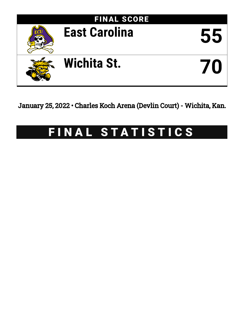

January 25, 2022 • Charles Koch Arena (Devlin Court) - Wichita, Kan.

# FINAL STATISTICS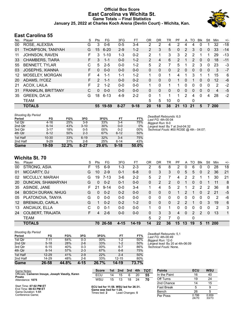### **Official Box Score East Carolina vs Wichita St. Game Totals -- Final Statistics January 25, 2022 at Charles Koch Arena (Devlin Court) - Wichita, Kan.**



# **East Carolina 55**

| No.               | Player                    | S  | <b>Pts</b>    | FG.      | 3FG      | FТ       | 0R       | <b>DR</b>    | TR           | PF            | A  | TO       | Blk      | Stl      | Min | $+/-$ |
|-------------------|---------------------------|----|---------------|----------|----------|----------|----------|--------------|--------------|---------------|----|----------|----------|----------|-----|-------|
| 00                | ROSE, ALEXSIA             | G  | 3             | $0 - 6$  | $0 - 5$  | $3 - 4$  | 2        | 2            | 4            | 2             | 4  | 4        | 0        |          | 32  | $-18$ |
| 01                | THOMPSON, TANIYAH         | G  | 15            | $6 - 20$ | $2-9$    | $1 - 2$  | 2        | 3            | 5            | 0             | 2  | 3        | $\Omega$ | 0        | 33  | $-14$ |
| 11                | JOHNSON, RAVEN            | F  | 3             | $1 - 10$ | $1 - 3$  | $0 - 2$  | 2        | 1            | 3            | 3             | 2  | 2        |          | 1        | 29  | $-13$ |
| 33                | <b>CHAMBERS, TIARA</b>    | F  | 3             | $1 - 1$  | $0 - 0$  | $1 - 2$  | 2        | 4            | 6            | 2             |    | 2        | 0        | 0        | 18  | $-11$ |
| 55                | <b>BENNETT, TYLAR</b>     | С  | 5             | $2 - 5$  | $0 - 0$  | $1 - 2$  | 5        | 2            | 7            | 5             |    | 2        | 3        | 0        | 23  | -3    |
| 03                | <b>JOSEPHS, XIANNA</b>    | F  | $\Omega$      | $0 - 0$  | $0 - 0$  | $0 - 0$  | 0        | 0            | 0            | $\mathcal{P}$ | 0  | $\Omega$ | $\Omega$ | 0        | 3   | $-7$  |
| $12 \overline{ }$ | MOSELEY, MORGAN           | F  | 4             | 1-1      | $1 - 1$  | $1 - 2$  |          | $\Omega$     | 1            | 4             |    | 3        |          | 1        | 15  | 6     |
| 20                | ADAMS, IYCEZ              | F. | $\mathcal{P}$ | $1 - 1$  | $0 - 0$  | $0 - 2$  | 0        | $\mathbf{0}$ | 0            | 1             | 0  | 1        | 0        | 0        | 12  | -6    |
| 21                | ACOX, LAILA               | F  | 2             | $1 - 2$  | $0 - 0$  | $0 - 0$  | 1        | $\Omega$     |              |               | 0  | 0        | 0        | 0        | 2   | $-2$  |
| 31                | <b>FRANKLIN, BRITTANY</b> | С  | $\Omega$      | $0 - 0$  | $0 - 0$  | $0 - 0$  | $\Omega$ | $\Omega$     | $\mathbf{0}$ | $\Omega$      | 0  | $\Omega$ | 0        | $\Omega$ | 4   | $-5$  |
| 35                | <b>GREEN, DA'JA</b>       | G  | 18            | $6 - 13$ | 4-9      | $2 - 2$  | 0        | 1            | 1            | 1             | 2  | 4        | $\Omega$ | 4        | 28  | $-2$  |
|                   | <b>TEAM</b>               |    |               |          |          |          | 5        | 5            | 10           | $\Omega$      |    | 0        |          |          |     |       |
|                   | <b>TOTALS</b>             |    | 55            | 19-59    | $8 - 27$ | $9 - 18$ | 20       | 18           | 38           | 21            | 13 | 21       | 5        |          | 200 |       |

| <b>Shooting By Period</b> |           |          |          |       |          |       |
|---------------------------|-----------|----------|----------|-------|----------|-------|
| Period                    | FG        | FG%      | 3FG      | 3FG%  | FT       | FT%   |
| 1st Qtr                   | $4 - 16$  | 25%      | $3-9$    | 33%   | $3-4$    | 75%   |
| 2nd Qtr                   | $6 - 14$  | 43%      | $3 - 10$ | 30%   | $0-0$    | 0%    |
| 3rd Qtr                   | $3 - 17$  | 18%      | $0 - 5$  | 00%   | $0 - 2$  | 00%   |
| 4th Qtr                   | $6 - 12$  | 50%      | $2 - 3$  | 67%   | $6 - 12$ | 50%   |
| 1st Half                  | $10 - 30$ | 33%      | $6 - 19$ | 32%   | $3 - 4$  | 75%   |
| 2nd Half                  | $9 - 29$  | 31%      | $2 - 8$  | 25%   | $6 - 14$ | 43%   |
| Game                      | 19-59     | $32.2\%$ | $8 - 27$ | 29.6% | $9 - 18$ | 50.0% |

*Deadball Rebounds:* 6,0 *Last FG:* 4th-00:04 *Biggest Run:* 8-0 *Largest lead:* By 7 at 2nd-04:32 *Technical Fouls:* #00 ROSE @ 4th - 04:07;

### **Wichita St. 70**

| No.               | Plaver                   | S  | Pts | FG.      | 3FG      | FT        | ΟR | DR       | TR           | PF            | A        | TO            | Blk           | Stl | Min | $+/-$ |
|-------------------|--------------------------|----|-----|----------|----------|-----------|----|----------|--------------|---------------|----------|---------------|---------------|-----|-----|-------|
| 00                | STRONG, ASIA             | F. | 15  | $6-9$    | 1-3      | $2 - 3$   | 2  | 6        | 8            | 2             | 0        | 6             | 0             | 0   | 28  | 18    |
| 01                | MCCARTY, DJ              | G  | 10  | $2 - 9$  | $0 - 1$  | $6 - 8$   | 0  | 3        | 3            | 0             | 5        | 5             | $\Omega$      | 2   | 36  | 21    |
| 02                | <b>MCCULLY, MARIAH</b>   | G  | 19  | $7 - 13$ | $3-6$    | $2 - 2$   | 5  | 2        |              | 4             | 2        | 2             |               |     | 30  | 21    |
| 20                | DUNCAN, SHAMARYAH        | G  | 0   | $0 - 2$  | $0 - 1$  | $0 - 0$   | 0  | 2        | 2            | 0             |          | 0             | 0             |     | 11  | 8     |
| 35                | ASINDE, JANE             | F. | 21  | $9 - 14$ | $0 - 0$  | $3 - 4$   |    | 4        | 5            | 2             |          | 2             | 2             | 2   | 36  | 8     |
| 04                | <b>BOSCH DURAN, NHUG</b> | G  | 0   | $0 - 2$  | $0 - 2$  | $0 - 0$   | 0  | 0        | $\Omega$     |               | 2        | 1             | 0             | 2   | 21  | $-5$  |
| 05                | PLATONOVA, TANYA         | G  | 0   | $0 - 0$  | $0 - 0$  | $0 - 0$   | 0  | 0        | 0            | 0             | 0        | 0             | 0             | 0   | 2   | -6    |
| $12 \overline{ }$ | <b>BREMAUD, CARLA</b>    | G  |     | $0 - 2$  | $0 - 2$  | $1 - 2$   | 0  | $\Omega$ | $\mathbf{0}$ | $\mathcal{P}$ | 2        | 1             | 0             | 3   | 19  | 6     |
| 13                | ANCIAUX, ELLA            | C  | 0   | $0 - 1$  | $0 - 0$  | $0 - 0$   | 1. | $\Omega$ | 1.           | 0             | 0        | 0             | 0             | 0   | 2   | 3     |
| 24                | <b>COLBERT, TRAJATA</b>  | F. | 4   | $2-6$    | $0 - 0$  | $0 - 0$   | 0  | 3        | 3            | 4             | $\Omega$ | $\mathcal{P}$ | $\mathcal{P}$ | 0   | 13  | 1     |
|                   | <b>TEAM</b>              |    |     |          |          |           | 5  | 2        |              | $\Omega$      |          | 0             |               |     |     |       |
|                   | <b>TOTALS</b>            |    | 70. | 26-58    | $4 - 15$ | $14 - 19$ | 14 | 22       | 36           | 15            | 13       | 19            | 5             | 11  | 200 |       |

#### *Shooting By Period*

| Period   | FG        | FG%   | 3FG     | 3FG%   | FT        | FT%   |
|----------|-----------|-------|---------|--------|-----------|-------|
| 1st Qtr  | $7 - 11$  | 64%   | $0 - 3$ | $00\%$ | $1 - 2$   | 50%   |
| 2nd Qtr  | $5 - 18$  | 28%   | $2 - 6$ | 33%    | $1 - 2$   | 50%   |
| 3rd Qtr  | $6 - 15$  | 40%   | $0 - 3$ | $00\%$ | $6 - 7$   | 86%   |
| 4th Qtr  | $8 - 14$  | 57%   | $2 - 3$ | 67%    | $6 - 8$   | 75%   |
| 1st Half | $12 - 29$ | 41%   | $2 - 9$ | 22%    | $2 - 4$   | 50%   |
| 2nd Half | 14-29     | 48%   | $2-6$   | 33%    | $12 - 15$ | 80%   |
| Game     | 26-58     | 44.8% | 4-15    | 26.7%  | 14-19     | 73.7% |

*Deadball Rebounds:* 5,1 *Last FG:* 4th-00:49 *Biggest Run:* 12-0 *Largest lead:* By 20 at 4th-06:09 *Technical Fouls:* None.

| Game Notes:                                                | <b>Score</b>                                                             | 1st | 2nd | 3rd | 4th | TOT | <b>Points</b>     | ECU | <b>WSU</b> |
|------------------------------------------------------------|--------------------------------------------------------------------------|-----|-----|-----|-----|-----|-------------------|-----|------------|
| Officials: Cameron Inouye, Joseph Vaszily, Karen<br>Preato | ECU                                                                      | 14  | 15  |     | 20  | 55  | In the Paint      | 16  | 40         |
| Attendance: 1075                                           | WSU                                                                      | 15  | 13  | 18  | 24  | 70  | Off Turns         | 19  | 24         |
|                                                            |                                                                          |     |     |     |     |     | 2nd Chance        |     | 15         |
| Start Time: 07:02 PM ET<br>End Time: 08:53 PM ET           | ECU led for 11:58. WSU led for 26:31.                                    |     |     |     |     |     | <b>Fast Break</b> |     |            |
| Game Duration: <b>1:51</b>                                 | Game was tied for 1:28.<br>Bench<br>$A$ and Changes $E$<br>Timon tiod: 2 |     |     |     | 26  |     |                   |     |            |

Game Duration: **1:51** Conference Game;

Times tied: **2** Lead Changes: **5**

| In the Paint | 16             | 40             |
|--------------|----------------|----------------|
| Off Turns    | 19             | 24             |
| 2nd Chance   | 14             | 15             |
| Fast Break   | 5              | 9              |
| Bench        | 26             | 5              |
| Per Poss     | 0.786<br>24/70 | 0.959<br>33/73 |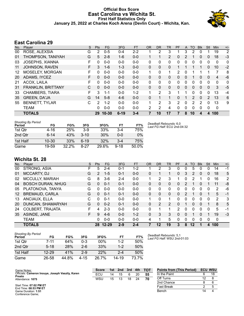#### **Official Box Score East Carolina vs Wichita St. First Half Statistics Only January 25, 2022 at Charles Koch Arena (Devlin Court) - Wichita, Kan.**



# **East Carolina 29**

| No. | Player                    | S  | <b>Pts</b> | <b>FG</b> | 3FG      | <b>FT</b> | <b>OR</b> | <b>DR</b>    | <b>TR</b>      | PF       | A | TO       | <b>Blk</b> | Stl            | <b>Min</b> | $+/-$          |
|-----|---------------------------|----|------------|-----------|----------|-----------|-----------|--------------|----------------|----------|---|----------|------------|----------------|------------|----------------|
| 00  | ROSE, ALEXSIA             | G  | 2          | $0 - 5$   | $0 - 4$  | 2-2       |           | 2            | 3              |          | 3 | 2        | 0          |                | 19         | $\overline{2}$ |
| 01  | THOMPSON, TANIYAH         | G  | 5          | $2 - 8$   | 1-6      | $0-0$     | 1.        | 1            | $\overline{2}$ | 0        | 2 |          | 0          | 0              | 18         | $-3$           |
| 03  | <b>JOSEPHS, XIANNA</b>    | F  | $\Omega$   | $0 - 0$   | $0 - 0$  | $0-0$     | 0         | 0            | $\mathbf{0}$   | $\Omega$ | 0 | 0        | $\Omega$   | 0              | 0          | 0              |
| 11  | <b>JOHNSON, RAVEN</b>     | F  | 3          | $1 - 6$   | $1 - 3$  | $0 - 0$   | 0         | $\mathbf{0}$ | 0              |          |   |          |            | 0              | 10         | $-2$           |
| 12  | MOSELEY, MORGAN           | F  | 0          | $0 - 0$   | $0 - 0$  | $0 - 0$   | 1         | 0            | 1              | 2        | 0 |          |            | 1              | 7          | 8              |
| 20  | ADAMS, IYCEZ              | F. | $\Omega$   | $0 - 0$   | $0 - 0$  | $0 - 0$   | 0         | $\Omega$     | 0              | $\Omega$ | 0 | 1        | $\Omega$   | $\mathbf{0}$   | 4          | -6             |
| 21  | ACOX, LAILA               | F  | $\Omega$   | $0 - 0$   | $0 - 0$  | $0 - 0$   | 0         | $\mathbf{0}$ | $\mathbf{0}$   | $\Omega$ | 0 | 0        | 0          | 0              | 0          | $\mathbf{0}$   |
| 31  | <b>FRANKLIN, BRITTANY</b> | C  | 0          | $0 - 0$   | $0 - 0$  | $0 - 0$   | 0         | 0            | $\mathbf{0}$   | $\Omega$ | 0 | 0        | 0          | 0              | 3          | $-5$           |
| 33  | <b>CHAMBERS, TIARA</b>    | F  | 3          | 1-1       | $0 - 0$  | $1 - 2$   | 1         | 2            | 3              |          |   | 0        | 0          | 0              | 13         | $-4$           |
| 35  | <b>GREEN, DA'JA</b>       | G  | 14         | $5 - 8$   | $4-6$    | $0 - 0$   | 0         | 1            | 1              | $\Omega$ |   | 2        | $\Omega$   | $\overline{2}$ | 13         | 6              |
| 55  | <b>BENNETT, TYLAR</b>     | C  | 2          | $1 - 2$   | $0 - 0$  | $0 - 0$   | 1         | 2            | 3              | 2        | 0 | 2        | 2          | 0              | 13         | 9              |
|     | <b>TEAM</b>               |    | 0          | $0 - 0$   | $0 - 0$  | $0-0$     | 2         | 2            | 4              | $\Omega$ | 0 | $\Omega$ | 0          | 0              | 0          |                |
|     | <b>TOTALS</b>             |    | 29         | $10 - 30$ | $6 - 19$ | $3 - 4$   |           | 10           | 17             |          | 8 | 10       | 4          | 4              | 100        |                |

| <b>Shooting By Period</b><br>Period | FG        | FG%   | 3FG      | 3FG%  | FT       | FT%   |
|-------------------------------------|-----------|-------|----------|-------|----------|-------|
| 1st Qtr                             | 4-16      | 25%   | $3-9$    | 33%   | 3-4      | 75%   |
| 2nd Otr                             | $6 - 14$  | 43%   | $3 - 10$ | 30%   | $0 - 0$  | 0%    |
| 1st Half                            | $10 - 30$ | 33%   | $6-19$   | 32%   | $3-4$    | 75%   |
| Game                                | 19-59     | 32.2% | 8-27     | 29.6% | $9 - 18$ | 50.0% |

*Deadball Rebounds:* 6,0 *Last FG Half:* ECU 2nd-04:32

# **Wichita St. 28**

| No. | Player                   | S  | Pts            | FG        | 3FG     | <b>FT</b> | <b>OR</b> | DR | TR            | PF | A        | TO | <b>B</b> lk | Stl | Min            | $+/-$          |
|-----|--------------------------|----|----------------|-----------|---------|-----------|-----------|----|---------------|----|----------|----|-------------|-----|----------------|----------------|
| 00  | STRONG, ASIA             | F  | 5              | $2 - 4$   | $0 - 1$ | $1 - 2$   |           | 2  | 3             | 0  | 0        | 5  | 0           | 0   | 14             | $-1$           |
| 01  | MCCARTY, DJ              | G  | $\overline{2}$ | $1 - 5$   | $0 - 1$ | $0 - 0$   | 0         |    |               | 0  | 3        | 2  | 0           | 0   | 18             | 5              |
| 02  | <b>MCCULLY, MARIAH</b>   | G  | 8              | $3-6$     | $2 - 4$ | $0 - 0$   |           | 2  | 3             |    | 0        | 2  |             | 0   | 16             | $\overline{2}$ |
| 04  | <b>BOSCH DURAN, NHUG</b> | G  | 0              | $0 - 1$   | $0 - 1$ | $0 - 0$   | 0         | 0  | 0             | 0  | 2        |    | 0           |     | 11             | -8             |
| 05  | PLATONOVA, TANYA         | G  | 0              | $0 - 0$   | $0 - 0$ | $0 - 0$   | 0         | 0  | 0             | 0  | 0        | 0  | 0           | 0   | $\overline{2}$ | -6             |
| 12  | <b>BREMAUD, CARLA</b>    | G  | 0              | $0 - 1$   | $0 - 1$ | $0 - 0$   | 0         | 0  | 0             | 0  | 2        |    | 0           |     | 5              | $-1$           |
| 13  | ANCIAUX, ELLA            | C  | 0              | $0 - 1$   | $0 - 0$ | $0 - 0$   | 1.        | 0  | 1             | 0  | 0        | 0  | $\Omega$    | 0   | 2              | 3              |
| 20  | DUNCAN, SHAMARYAH        | G  | 0              | $0 - 2$   | $0 - 1$ | $0 - 0$   | 0         | 2  | $\mathcal{P}$ | 0  | 1        | 0  | $\Omega$    |     | 8              | 5              |
| 24  | <b>COLBERT, TRAJATA</b>  | F  | 4              | $2 - 3$   | $0 - 0$ | $0 - 0$   | $\Omega$  |    |               | 2  | 0        | 0  | $\Omega$    | 0   | 5              | $-1$           |
| 35  | ASINDE, JANE             | F. | 9              | $4-6$     | $0 - 0$ | $1 - 2$   | $\Omega$  | 3  | 3             | 0  | $\Omega$ |    | 0           |     | 19             | $-3$           |
|     | <b>TEAM</b>              |    | 0              | $0 - 0$   | $0 - 0$ | $0 - 0$   | 4         |    | 5             | 0  | 0        | 0  | $\Omega$    | 0   | 0              |                |
|     | <b>TOTALS</b>            |    | 28             | $12 - 29$ | $2 - 9$ | $2 - 4$   |           | 12 | 19            | 3  | 8        | 12 |             | 4   | 100            |                |

| <b>Shooting By Period</b><br>Period | FG       | FG%   | 3FG     | 3FG%   | FT      | FT%   |
|-------------------------------------|----------|-------|---------|--------|---------|-------|
| 1st Otr                             | 7-11     | 64%   | $0 - 3$ | $00\%$ | $1-2$   | 50%   |
| 2nd Otr                             | $5 - 18$ | 28%   | 2-6     | 33%    | $1 - 2$ | 50%   |
| 1st Half                            | 12-29    | 41%   | $2-9$   | 22%    | $2 - 4$ | 50%   |
| Game                                | 26-58    | 44.8% | 4-15    | 26.7%  | 14-19   | 73.7% |

*Deadball Rebounds:* 5,1 *Last FG Half:* WSU 2nd-01:03

| Game Notes:                                                | <b>Score</b> | 1st | 2nd | 3rd | 4th | <b>TOT</b> | <b>Points from (This Period)</b> | <b>ECU WSU</b> |
|------------------------------------------------------------|--------------|-----|-----|-----|-----|------------|----------------------------------|----------------|
| Officials: Cameron Inouye, Joseph Vaszily, Karen<br>Preato | ECU          | 14  |     |     | 20  | 55         | In the Paint                     |                |
| Attendance: 1075                                           | WSU          | 15  | 13  | 18  | 24  | 70         | Off Turns                        |                |
|                                                            |              |     |     |     |     |            | 2nd Chance                       |                |
| Start Time: 07:02 PM ET<br>End Time: 08:53 PM ET           |              |     |     |     |     |            | <b>Fast Break</b>                |                |
| Game Duration: 1:51                                        |              |     |     |     |     |            | Bench                            |                |

Game Duration: **1:51** Conference Game;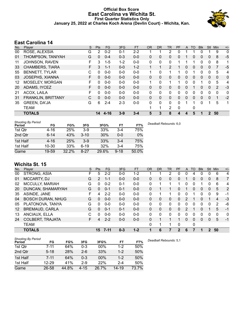#### **Official Box Score East Carolina vs Wichita St. First Quarter Statistics Only January 25, 2022 at Charles Koch Arena (Devlin Court) - Wichita, Kan.**



# **East Carolina 14**

| No. | Player                 | S | <b>Pts</b> | <b>FG</b> | 3FG     | <b>FT</b> | <b>OR</b> | <b>DR</b>    | TR | PF       | $\mathsf{A}$ | TO | <b>Blk</b> | <b>Stl</b>   | Min | $+/-$ |
|-----|------------------------|---|------------|-----------|---------|-----------|-----------|--------------|----|----------|--------------|----|------------|--------------|-----|-------|
| 00  | ROSE, ALEXSIA          | G | 2          | $0 - 2$   | $0 - 1$ | $2 - 2$   |           |              | 2  | 0        |              |    | 0          |              | 9   | 0     |
| 01  | THOMPSON, TANIYAH      | G | 0          | $0 - 4$   | $0 - 3$ | $0 - 0$   | 0         | 0            | 0  | 0        |              | 0  | 0          | $\mathbf{0}$ | 8   | $-5$  |
| 11  | JOHNSON, RAVEN         | F | 3          | $1-5$     | $1 - 2$ | $0 - 0$   | 0         | $\mathbf{0}$ | 0  |          |              |    | 0          | 0            | 8   | 1     |
| 33  | <b>CHAMBERS, TIARA</b> | F | 3          | $1 - 1$   | $0 - 0$ | $1 - 2$   | 1         |              | 2  |          | $\Omega$     | 0  | 0          | $\Omega$     | 7   | $-5$  |
| 55  | <b>BENNETT, TYLAR</b>  | C | $\Omega$   | $0 - 0$   | $0 - 0$ | $0 - 0$   | 1         | $\Omega$     | 1  | 1        | 0            |    | 0          | $\Omega$     | 5   | 4     |
| 03  | JOSEPHS, XIANNA        | F | 0          | $0 - 0$   | $0 - 0$ | $0 - 0$   | 0         | $\mathbf{0}$ | 0  | 0        | $\mathbf{0}$ | 0  | 0          | $\mathbf{0}$ | 0   | 0     |
| 12  | <b>MOSELEY, MORGAN</b> | F | 0          | $0 - 0$   | $0 - 0$ | $0 - 0$   | 1         | 0            | 1  | 1        | 0            | 0  | 1          | 0            | 5   | 4     |
| 20  | ADAMS, IYCEZ           | F | 0          | $0 - 0$   | $0 - 0$ | $0 - 0$   | 0         | $\Omega$     | 0  | 0        | $\Omega$     |    | 0          | $\Omega$     | 2   | $-3$  |
| 21  | ACOX, LAILA            | F | 0          | $0 - 0$   | $0 - 0$ | $0 - 0$   | 0         | $\mathbf{0}$ | 0  | 0        | $\Omega$     | 0  | 0          | $\Omega$     | 0   | 0     |
| 31  | FRANKLIN, BRITTANY     | C | 0          | $0 - 0$   | $0 - 0$ | $0 - 0$   | $\Omega$  | $\Omega$     | 0  | $\Omega$ | $\Omega$     | 0  | 0          | $\Omega$     | 1   | $-2$  |
| 35  | GREEN, DA'JA           | G | 6          | $2 - 4$   | $2 - 3$ | $0 - 0$   | 0         | $\Omega$     | 0  | 0        |              |    | 0          | 1            | 5   | 1     |
|     | <b>TEAM</b>            |   |            |           |         |           |           | 1            | 2  | 0        |              | 0  |            |              |     |       |
|     | <b>TOTALS</b>          |   | 14         | $4 - 16$  | $3 - 9$ | $3 - 4$   | 5         | 3            | 8  | 4        | 4            | 5  |            | 2            | 50  |       |

| <b>Shooting By Period</b><br>Period | FG        | FG%   | 3FG      | 3FG%  | FT       | FT%   | Deadball Rebounds: 6,0 |
|-------------------------------------|-----------|-------|----------|-------|----------|-------|------------------------|
| 1st Qtr                             | 4-16      | 25%   | $3-9$    | 33%   | $3 - 4$  | 75%   |                        |
| 2nd Qtr                             | $6 - 14$  | 43%   | $3 - 10$ | 30%   | $0 - 0$  | 0%    |                        |
| 1st Half                            | 4-16      | 25%   | $3-9$    | 33%   | $3 - 4$  | 75%   |                        |
| 1st Half                            | $10 - 30$ | 33%   | $6 - 19$ | 32%   | $3 - 4$  | 75%   |                        |
| Game                                | 19-59     | 32.2% | $8 - 27$ | 29.6% | $9 - 18$ | 50.0% |                        |

# **Wichita St. 15**

| No. | Player                   | S | Pts      | FG       | 3FG     | <b>FT</b> | <b>OR</b> | DR | TR | PF | A        | TO | <b>Blk</b> | Stl          | Min      | $+/-$        |
|-----|--------------------------|---|----------|----------|---------|-----------|-----------|----|----|----|----------|----|------------|--------------|----------|--------------|
| 00  | STRONG, ASIA             | F | 5        | $2 - 2$  | $0 - 0$ | $1-2$     |           |    | 2  | 0  | 0        | 4  | O          | 0            | 6        | 4            |
| 01  | MCCARTY, DJ              | G | 2        | $1 - 1$  | $0 - 0$ | $0 - 0$   | 0         | 0  | 0  | 0  |          | 0  | 0          | $\mathbf{0}$ | 8        | 7            |
| 02  | <b>MCCULLY, MARIAH</b>   | G | 0        | $0 - 2$  | $0 - 1$ | $0 - 0$   | 0         |    | 1  |    | 0        | 0  |            | 0            | 6        | 4            |
| 20  | DUNCAN, SHAMARYAH        | G | 0        | $0 - 1$  | $0 - 1$ | $0 - 0$   | $\Omega$  |    |    | 0  |          | 0  | $\Omega$   | $\mathbf{0}$ | 5        | 2            |
| 35  | ASINDE, JANE             | F | 4        | $2 - 2$  | $0 - 0$ | $0 - 0$   | 0         |    | 1  | 0  | 0        |    | 0          | $\mathbf{0}$ | 9        | $-1$         |
| 04  | <b>BOSCH DURAN, NHUG</b> | G | $\Omega$ | $0 - 0$  | $0 - 0$ | $0 - 0$   | 0         | 0  | 0  | 0  | 2        |    | 0          |              | 4        | $-3$         |
| 05  | PLATONOVA, TANYA         | G | $\Omega$ | $0 - 0$  | $0 - 0$ | $0 - 0$   | 0         | 0  | 0  | 0  | 0        | 0  | 0          | $\Omega$     | 2        | -6           |
| 12  | <b>BREMAUD, CARLA</b>    | G | $\Omega$ | $0 - 1$  | $0 - 1$ | $0 - 0$   | $\Omega$  | 0  | 0  | 0  |          |    | 0          |              | 5        | $-1$         |
| 13  | ANCIAUX, ELLA            | С | U        | $0 - 0$  | $0 - 0$ | $0 - 0$   | 0         | 0  | 0  | 0  | 0        | 0  | 0          | 0            | $\Omega$ | $\mathbf{0}$ |
| 24  | <b>COLBERT, TRAJATA</b>  | F | 4        | $2 - 2$  | $0 - 0$ | $0 - 0$   | $\Omega$  |    | 1  | 1  | $\Omega$ | 0  | 0          | $\mathbf{0}$ | 5        | $-1$         |
|     | <b>TEAM</b>              |   |          |          |         |           | 0         | 1  | 1  | 0  |          | 0  |            |              |          |              |
|     | <b>TOTALS</b>            |   | 15       | $7 - 11$ | $0 - 3$ | $1 - 2$   |           | 6  | 7  | 2  | 6        |    | 1          | 2            | 50       |              |

| <b>Shooting By Period</b> |           |       |          |        |           |       |
|---------------------------|-----------|-------|----------|--------|-----------|-------|
| Period                    | FG        | FG%   | 3FG      | 3FG%   | FT        | FT%   |
| 1st Qtr                   | $7 - 11$  | 64%   | $0 - 3$  | $00\%$ | $1 - 2$   | 50%   |
| 2nd Qtr                   | $5 - 18$  | 28%   | $2 - 6$  | 33%    | $1 - 2$   | 50%   |
| 1st Half                  | $7 - 11$  | 64%   | $0 - 3$  | 00%    | $1 - 2$   | 50%   |
| 1st Half                  | $12 - 29$ | 41%   | $2-9$    | 22%    | $2 - 4$   | 50%   |
| Game                      | 26-58     | 44.8% | $4 - 15$ | 26.7%  | $14 - 19$ | 73.7% |

*Deadball Rebounds:* 5,1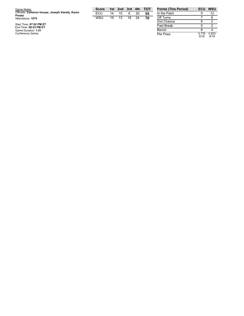| Game Notes:                                                | <b>Score</b> | 1st | 2nd | 3rd | 4th | <b>- тот</b> | <b>Points (This Period)</b> | ECU            | <b>WSU</b>    |
|------------------------------------------------------------|--------------|-----|-----|-----|-----|--------------|-----------------------------|----------------|---------------|
| Officials: Cameron Inouye, Joseph Vaszily, Karen<br>Preato | ECL          | 14  | 15  | 6   | 20  | 55           | In the Paint                |                | 12            |
| Attendance: 1075                                           | WSU          | 15  | 13  | 18  | 24  | 70           | Off Turns                   |                |               |
|                                                            |              |     |     |     |     |              | 2nd Chance                  |                |               |
| Start Time: 07:02 PM ET<br>End Time: 08:53 PM ET           |              |     |     |     |     |              | <b>Fast Break</b>           |                |               |
| Game Duration: 1:51                                        |              |     |     |     |     |              | Bench                       |                |               |
| Conference Game:                                           |              |     |     |     |     |              | Per Poss                    | 0.778<br>0.140 | 0.833<br>0140 |

0.8 3 3 8 / 1 8

0.7 7 8 6 / 1 8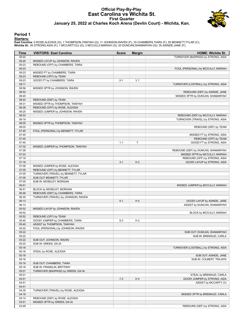#### **Official Play-By-Play East Carolina vs Wichita St. First Quarter January 25, 2022 at Charles Koch Arena (Devlin Court) - Wichita, Kan.**



#### **Period 1**

<mark>Startersː</mark><br>East Carolina: 0 ROSE,ALEXSIA (G); 1 THOMPSON,TANIYAH (G); 11 JOHNSON,RAVEN (F); 33 CHAMBERS,TIARA (F); 55 BENNETT,TYLAR (C);<br>**Wichita St.**: 00 STRONG,ASIA (F); 1 MCCARTY,DJ (G); 2 MCCULLY,MARIAH (G); 20 DUNCA

| Time           | <b>VISITORS: East Carolina</b>      | <b>Score</b> | <b>Margin</b>  | <b>HOME: Wichita St.</b>            |
|----------------|-------------------------------------|--------------|----------------|-------------------------------------|
| 09:40          |                                     |              |                | TURNOVER (BADPASS) by STRONG, ASIA  |
| 09:25          | MISSED LAYUP by JOHNSON, RAVEN      |              |                |                                     |
| 09:23          | REBOUND (OFF) by CHAMBERS, TIARA    |              |                |                                     |
| 09:23          |                                     |              |                | FOUL (PERSONAL) by MCCULLY, MARIAH  |
| 09:23          | MISSED FT by CHAMBERS, TIARA        |              |                |                                     |
| 09:23          | REBOUND (OFF) by TEAM               |              |                |                                     |
| 09:23          | GOOD! FT by CHAMBERS, TIARA         | $0 - 1$      | V <sub>1</sub> |                                     |
| 09:11          |                                     |              |                | TURNOVER (LOSTBALL) by STRONG, ASIA |
| 08:56          | MISSED 3PTR by JOHNSON, RAVEN       |              |                |                                     |
| 08:52          |                                     |              |                | REBOUND (DEF) by ASINDE, JANE       |
| 08:45          |                                     |              |                | MISSED 3PTR by DUNCAN, SHAMARYAH    |
| 08:44          | REBOUND (DEF) by TEAM               |              |                |                                     |
| 08:31          | MISSED 3PTR by THOMPSON, TANIYAH    |              |                |                                     |
| 08:28          | REBOUND (OFF) by ROSE, ALEXSIA      |              |                |                                     |
| 08:25          | MISSED JUMPER by JOHNSON, RAVEN     |              |                |                                     |
| 08:22          |                                     |              |                | REBOUND (DEF) by MCCULLY, MARIAH    |
| 08:19          |                                     |              |                | TURNOVER (TRAVEL) by STRONG, ASIA   |
| 08:05          | MISSED 3PTR by THOMPSON, TANIYAH    |              |                |                                     |
| 08:03          |                                     |              |                | REBOUND (DEF) by TEAM               |
| 07:45          | FOUL (PERSONAL) by BENNETT, TYLAR   |              |                |                                     |
| 07:45          |                                     |              |                | MISSED FT by STRONG, ASIA           |
| 07:45          |                                     |              |                | REBOUND (OFF) by TEAM               |
| 07:45          |                                     | $1 - 1$      | Т              | GOOD! FT by STRONG, ASIA            |
| 07:32          | MISSED JUMPER by THOMPSON, TANIYAH  |              |                |                                     |
| 07:28          |                                     |              |                | REBOUND (DEF) by DUNCAN, SHAMARYAH  |
| 07:22          |                                     |              |                | MISSED 3PTR by MCCULLY, MARIAH      |
| 07:19          |                                     |              |                | REBOUND (OFF) by STRONG, ASIA       |
| 07:18          |                                     | $3 - 1$      | H <sub>2</sub> | GOOD! LAYUP by STRONG, ASIA         |
| 07:06          | MISSED JUMPER by ROSE, ALEXSIA      |              |                |                                     |
| 07:05          | REBOUND (OFF) by BENNETT, TYLAR     |              |                |                                     |
| 07:05          | TURNOVER (TRAVEL) by BENNETT, TYLAR |              |                |                                     |
| 07:05          | SUB OUT: BENNETT, TYLAR             |              |                |                                     |
| 07:05          | SUB IN: MOSELEY, MORGAN             |              |                |                                     |
| 06:51          |                                     |              |                |                                     |
|                | BLOCK by MOSELEY, MORGAN            |              |                | MISSED JUMPER by MCCULLY, MARIAH    |
| 06:51          |                                     |              |                |                                     |
| 06:46          | REBOUND (DEF) by CHAMBERS, TIARA    |              |                |                                     |
| 06:30<br>06:13 | TURNOVER (TRAVEL) by JOHNSON, RAVEN | $5 - 1$      | H4             | GOOD! LAYUP by ASINDE, JANE         |
|                |                                     |              |                | ASSIST by DUNCAN, SHAMARYAH         |
| 06:13<br>05:52 |                                     |              |                |                                     |
|                | MISSED LAYUP by JOHNSON, RAVEN      |              |                |                                     |
| 05:52          |                                     |              |                | BLOCK by MCCULLY, MARIAH            |
| 05:52          | REBOUND (OFF) by TEAM               |              |                |                                     |
| 05:40          | GOOD! JUMPER by CHAMBERS, TIARA     | $5 - 3$      | H <sub>2</sub> |                                     |
| 05:40          | ASSIST by THOMPSON, TANIYAH         |              |                |                                     |
| 05:22          | FOUL (PERSONAL) by JOHNSON, RAVEN   |              |                |                                     |
| 05:22          |                                     |              |                | SUB OUT: DUNCAN, SHAMARYAH          |
| 05:22          |                                     |              |                | SUB IN: BREMAUD, CARLA              |
| 05:22          | SUB OUT: JOHNSON, RAVEN             |              |                |                                     |
| 05:22          | SUB IN: GREEN, DA'JA                |              |                |                                     |
| 05:16          |                                     |              |                | TURNOVER (LOSTBALL) by STRONG, ASIA |
| 05:16          | STEAL by ROSE, ALEXSIA              |              |                |                                     |
| 05:16          |                                     |              |                | SUB OUT: ASINDE, JANE               |
| 05:16          |                                     |              |                | SUB IN: COLBERT, TRAJATA            |
| 05:16          | SUB OUT: CHAMBERS, TIARA            |              |                |                                     |
| 05:16          | SUB IN: FRANKLIN, BRITTANY          |              |                |                                     |
| 05:01          | TURNOVER (BADPASS) by GREEN, DA'JA  |              |                |                                     |
| 05:01          |                                     |              |                | STEAL by BREMAUD, CARLA             |
| 04:51          |                                     | $7 - 3$      | H4             | GOOD! JUMPER by STRONG, ASIA        |
| 04:51          |                                     |              |                | ASSIST by MCCARTY, DJ               |
| 04:41          |                                     |              |                |                                     |
| 04:35          | TURNOVER (TRAVEL) by ROSE, ALEXSIA  |              |                |                                     |
| 04:18          |                                     |              |                | MISSED 3PTR by BREMAUD, CARLA       |
| 04:14          | REBOUND (DEF) by ROSE, ALEXSIA      |              |                |                                     |
| 03:51          | MISSED 3PTR by GREEN, DA'JA         |              |                |                                     |
| 03:49          |                                     |              |                | REBOUND (DEF) by STRONG, ASIA       |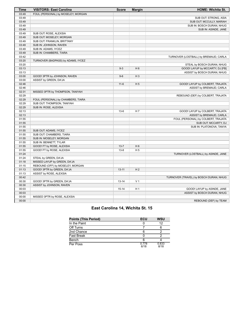| Time           | <b>VISITORS: East Carolina</b>     | <b>Score</b>         | <b>Margin</b>                    | <b>HOME: Wichita St.</b>               |
|----------------|------------------------------------|----------------------|----------------------------------|----------------------------------------|
| 03:49          | FOUL (PERSONAL) by MOSELEY, MORGAN |                      |                                  |                                        |
| 03:49          |                                    |                      |                                  | SUB OUT: STRONG, ASIA                  |
| 03:49          |                                    |                      |                                  | SUB OUT: MCCULLY, MARIAH               |
| 03:49          |                                    |                      |                                  | SUB IN: BOSCH DURAN, NHUG              |
| 03:49          |                                    |                      |                                  | SUB IN: ASINDE, JANE                   |
| 03:49          | SUB OUT: ROSE, ALEXSIA             |                      |                                  |                                        |
| 03:49          | SUB OUT: MOSELEY, MORGAN           |                      |                                  |                                        |
| 03:49          | SUB OUT: FRANKLIN, BRITTANY        |                      |                                  |                                        |
| 03:49          | SUB IN: JOHNSON, RAVEN             |                      |                                  |                                        |
| 03:49          | SUB IN: ADAMS, IYCEZ               |                      |                                  |                                        |
| 03:49          | SUB IN: CHAMBERS, TIARA            |                      |                                  |                                        |
| 03:42          |                                    |                      |                                  | TURNOVER (LOSTBALL) by BREMAUD, CARLA  |
| 03:20          | TURNOVER (BADPASS) by ADAMS, IYCEZ |                      |                                  |                                        |
| 03:20          |                                    |                      |                                  | STEAL by BOSCH DURAN, NHUG             |
| 03:13          |                                    | $9 - 3$              | H <sub>6</sub>                   | GOOD! LAYUP by MCCARTY, DJ [FB]        |
| 03:13          |                                    |                      |                                  | ASSIST by BOSCH DURAN, NHUG            |
| 03:00          | GOOD! 3PTR by JOHNSON, RAVEN       | $9-6$                | $H_3$                            |                                        |
| 03:00          | ASSIST by GREEN, DA'JA             |                      |                                  |                                        |
| 02:46          |                                    | $11 - 6$             | H <sub>5</sub>                   | GOOD! LAYUP by COLBERT, TRAJATA        |
| 02:46          |                                    |                      |                                  | ASSIST by BREMAUD, CARLA               |
| 02:31          | MISSED 3PTR by THOMPSON, TANIYAH   |                      |                                  |                                        |
| 02:29          |                                    |                      |                                  | REBOUND (DEF) by COLBERT, TRAJATA      |
| 02:29          | FOUL (PERSONAL) by CHAMBERS, TIARA |                      |                                  |                                        |
| 02:29          | SUB OUT: THOMPSON, TANIYAH         |                      |                                  |                                        |
| 02:29          | SUB IN: ROSE, ALEXSIA              |                      |                                  |                                        |
| 02:13          |                                    | $13-6$               | H 7                              | GOOD! LAYUP by COLBERT, TRAJATA        |
| 02:13          |                                    |                      |                                  | ASSIST by BREMAUD, CARLA               |
| 01:55          |                                    |                      |                                  | FOUL (PERSONAL) by COLBERT, TRAJATA    |
| 01:55          |                                    |                      |                                  | SUB OUT: MCCARTY, DJ                   |
| 01:55          |                                    |                      |                                  | SUB IN: PLATONOVA, TANYA               |
| 01:55          | SUB OUT: ADAMS, IYCEZ              |                      |                                  |                                        |
| 01:55          | SUB OUT: CHAMBERS, TIARA           |                      |                                  |                                        |
| 01:55          | SUB IN: MOSELEY, MORGAN            |                      |                                  |                                        |
| 01:55          | SUB IN: BENNETT, TYLAR             |                      |                                  |                                        |
| 01:55<br>01:55 | GOOD! FT by ROSE, ALEXSIA          | $13 - 7$<br>$13 - 8$ | H <sub>6</sub><br>H <sub>5</sub> |                                        |
| 01:24          | GOOD! FT by ROSE, ALEXSIA          |                      |                                  |                                        |
| 01:24          | STEAL by GREEN, DA'JA              |                      |                                  | TURNOVER (LOSTBALL) by ASINDE, JANE    |
| 01:18          | MISSED LAYUP by GREEN, DA'JA       |                      |                                  |                                        |
| 01:15          | REBOUND (OFF) by MOSELEY, MORGAN   |                      |                                  |                                        |
| 01:13          | GOOD! 3PTR by GREEN, DA'JA         | $13 - 11$            | H <sub>2</sub>                   |                                        |
| 01:13          | ASSIST by ROSE, ALEXSIA            |                      |                                  |                                        |
| 00:42          |                                    |                      |                                  | TURNOVER (TRAVEL) by BOSCH DURAN, NHUG |
| 00:30          | GOOD! 3PTR by GREEN, DA'JA         | $13 - 14$            | V <sub>1</sub>                   |                                        |
| 00:30          | ASSIST by JOHNSON, RAVEN           |                      |                                  |                                        |
| 00:03          |                                    | $15 - 14$            | H <sub>1</sub>                   | GOOD! LAYUP by ASINDE, JANE            |
| 00:03          |                                    |                      |                                  | ASSIST by BOSCH DURAN, NHUG            |
| 00:00          | MISSED 3PTR by ROSE, ALEXSIA       |                      |                                  |                                        |
| 00:00          |                                    |                      |                                  | REBOUND (DEF) by TEAM                  |
|                |                                    |                      |                                  |                                        |

# **East Carolina 14, Wichita St. 15**

| <b>Points (This Period)</b> | <b>ECU</b>    | <b>WSU</b>    |
|-----------------------------|---------------|---------------|
| In the Paint                |               | 12            |
| Off Turns                   |               |               |
| 2nd Chance                  | 6             |               |
| <b>Fast Break</b>           |               |               |
| Bench                       |               |               |
| Per Poss                    | 0.778<br>6/18 | 0.833<br>8/18 |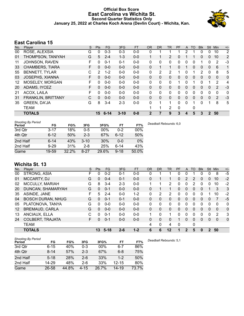### **Official Box Score East Carolina vs Wichita St. Second Quarter Statistics Only January 25, 2022 at Charles Koch Arena (Devlin Court) - Wichita, Kan.**



# **East Carolina 15**

| No. | Player                    | S  | <b>Pts</b> | <b>FG</b> | 3FG      | <b>FT</b> | <b>OR</b>    | <b>DR</b> | <b>TR</b>      | <b>PF</b> | A        | TO | <b>Blk</b> | Stl          | Min            | $+/-$          |
|-----|---------------------------|----|------------|-----------|----------|-----------|--------------|-----------|----------------|-----------|----------|----|------------|--------------|----------------|----------------|
| 00  | ROSE, ALEXSIA             | G  | 0          | $0 - 3$   | $0 - 3$  | $0 - 0$   | 0            |           |                |           | 2        |    | 0          | 0            | 10             | 2              |
| 01  | THOMPSON, TANIYAH         | G  | 5          | $2 - 4$   | 1-3      | $0 - 0$   | 1            |           | $\overline{2}$ | 0         |          |    | 0          | $\mathbf{0}$ | 10             | $\overline{2}$ |
| 11  | JOHNSON, RAVEN            | F  | 0          | $0 - 1$   | $0 - 1$  | $0 - 0$   | 0            | 0         | 0              | 0         | 0        | 0  |            | 0            | 2              | -3             |
| 33  | <b>CHAMBERS, TIARA</b>    | F. | 0          | $0 - 0$   | $0 - 0$  | $0 - 0$   | 0            |           | 1              | $\Omega$  |          | 0  | 0          | 0            | 6              | $\mathbf{1}$   |
| 55  | <b>BENNETT, TYLAR</b>     | С  | 2          | $1 - 2$   | $0 - 0$  | $0 - 0$   | 0            | 2         | 2              | 1         | 0        |    | 2          | $\Omega$     | 8              | 5              |
| 03  | <b>JOSEPHS, XIANNA</b>    | F  | 0          | $0 - 0$   | $0 - 0$  | $0 - 0$   | $\mathbf{0}$ | $\Omega$  | 0              | $\Omega$  | $\Omega$ | 0  | 0          | $\Omega$     | $\mathbf{0}$   | 0              |
| 12  | MOSELEY, MORGAN           | F  | 0          | $0 - 0$   | $0 - 0$  | $0 - 0$   | 0            | 0         | 0              | 1         | 0        |    | 0          |              | 2              | 4              |
| 20  | ADAMS, IYCEZ              | F  | 0          | $0 - 0$   | $0 - 0$  | $0 - 0$   | 0            | 0         | 0              | $\Omega$  | 0        | 0  | 0          | 0            | 2              | $-3$           |
| 21  | ACOX, LAILA               | F  | 0          | $0 - 0$   | $0 - 0$  | $0 - 0$   | 0            | 0         | 0              | 0         | 0        | 0  | 0          | 0            | 0              | 0              |
| 31  | <b>FRANKLIN, BRITTANY</b> | C  | $\Omega$   | $0 - 0$   | $0 - 0$  | $0 - 0$   | $\mathbf{0}$ | $\Omega$  | $\mathbf{0}$   | $\Omega$  | $\Omega$ | 0  | 0          | $\Omega$     | $\overline{2}$ | $-3$           |
| 35  | <b>GREEN, DA'JA</b>       | G  | 8          | $3 - 4$   | $2 - 3$  | $0 - 0$   | 0            | 1         | 1              | 0         | $\Omega$ |    | 0          |              | 8              | 5              |
|     | <b>TEAM</b>               |    |            |           |          |           |              |           | 2              | 0         |          | 0  |            |              |                |                |
|     | <b>TOTALS</b>             |    | 15         | $6 - 14$  | $3 - 10$ | $0 - 0$   | 2            |           | 9              | 3         | 4        | 5  | 3          | $\mathbf 2$  | 50             |                |

| <b>Shooting By Period</b><br>Period | FG       | FG%   | 3FG      | 3FG%  | FT       | FT%   | Deadball Rebounds: 6,0 |
|-------------------------------------|----------|-------|----------|-------|----------|-------|------------------------|
| 3rd Qtr                             | 3-17     | 18%   | $0 - 5$  | 00%   | 0-2      | 00%   |                        |
| 4th Qtr                             | $6 - 12$ | 50%   | $2 - 3$  | 67%   | $6 - 12$ | 50%   |                        |
| 2nd Half                            | $6 - 14$ | 43%   | $3 - 10$ | 30%   | 0-0      | 0%    |                        |
| 2nd Half                            | $9 - 29$ | 31%   | $2 - 8$  | 25%   | $6 - 14$ | 43%   |                        |
| Game                                | 19-59    | 32.2% | $8 - 27$ | 29.6% | $9 - 18$ | 50.0% |                        |

# **Wichita St. 13**

| No. | Plaver                   | S  | Pts          | <b>FG</b> | 3FG     | <b>FT</b> | <b>OR</b> | <b>DR</b> | TR       | <b>PF</b> | A            | TO          | <b>Blk</b> | Stl      | Min      | $+/-$        |
|-----|--------------------------|----|--------------|-----------|---------|-----------|-----------|-----------|----------|-----------|--------------|-------------|------------|----------|----------|--------------|
| 00  | STRONG, ASIA             | F. | $\Omega$     | $0 - 2$   | 0-1     | $0-0$     | 0         |           | 1        | 0         | 0            |             | 0          | 0        | 8        | $-5$         |
| 01  | MCCARTY, DJ              | G  | 0            | $0 - 4$   | $0 - 1$ | $0 - 0$   | 0         |           |          | 0         | 2            | 2           | 0          | 0        | 10       | $-2$         |
| 02  | <b>MCCULLY, MARIAH</b>   | G  | 8            | $3 - 4$   | $2 - 3$ | $0 - 0$   | 1         |           | 2        | 0         | 0            | 2           | 0          | 0        | 10       | $-2$         |
| 20  | DUNCAN, SHAMARYAH        | G  | 0            | $0 - 1$   | $0 - 0$ | $0 - 0$   | 0         |           | 1        | 0         | 0            | $\Omega$    | 0          |          | 3        | 3            |
| 35  | ASINDE, JANE             | F  | 5            | $2 - 4$   | $0 - 0$ | $1 - 2$   | 0         | 2         | 2        | 0         | 0            | ∩           | 0          |          | 10       | $-2$         |
| 04  | <b>BOSCH DURAN, NHUG</b> | G  | 0            | $0 - 1$   | $0 - 1$ | $0 - 0$   | 0         | 0         | 0        | 0         | $\mathbf{0}$ | $\Omega$    | $\Omega$   | 0        | 7        | -5           |
| 05  | PLATONOVA, TANYA         | G  | $\Omega$     | $0 - 0$   | $0 - 0$ | $0-0$     | 0         | 0         | $\Omega$ | 0         | 0            | ∩           | 0          | 0        | 0        | 0            |
| 12  | <b>BREMAUD, CARLA</b>    | G  | $\Omega$     | $0 - 0$   | $0 - 0$ | $0 - 0$   | 0         | 0         | $\Omega$ | 0         | $\mathbf{0}$ | $\Omega$    | 0          | $\Omega$ | $\Omega$ | $\mathbf 0$  |
| 13  | ANCIAUX, ELLA            | C  | <sup>0</sup> | $0 - 1$   | $0 - 0$ | $0 - 0$   | 1         | 0         | 1        | 0         | 0            | ∩           | 0          | 0        | 2        | 3            |
| 24  | <b>COLBERT, TRAJATA</b>  | F. | 0            | $0 - 1$   | $0 - 0$ | $0 - 0$   | $\Omega$  | 0         | 0        |           | 0            | $\Omega$    | 0          | 0        | 0        | $\mathbf{0}$ |
|     | <b>TEAM</b>              |    |              |           |         |           | 4         | 0         | 4        | 0         |              | $\mathbf 0$ |            |          |          |              |
|     | <b>TOTALS</b>            |    | 13           | $5 - 18$  | $2 - 6$ | $1 - 2$   | 6         | 6         | 12       | 1         | 2            | 5           | 0          | 2        | 50       |              |

| <b>Shooting By Period</b><br>Period | FG       | FG%   | 3FG      | 3FG%   | FT        | FT%   |
|-------------------------------------|----------|-------|----------|--------|-----------|-------|
| 3rd Otr                             | $6 - 15$ | 40%   | 0-3      | $00\%$ | $6-7$     | 86%   |
| 4th Qtr                             | $8 - 14$ | 57%   | $2-3$    | 67%    | 6-8       | 75%   |
| 2nd Half                            | $5 - 18$ | 28%   | 2-6.     | 33%    | $1 - 2$   | 50%   |
| 2nd Half                            | 14-29    | 48%   | 2-6      | 33%    | $12 - 15$ | 80%   |
| Game                                | 26-58    | 44.8% | $4 - 15$ | 26.7%  | $14 - 19$ | 73.7% |

*Deadball Rebounds:* 5,1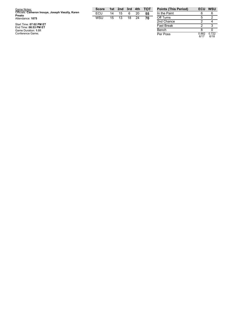| Game Notes:                                                | Score | 1st | 2nd | 3rd | $-4th$ | <b>- тот</b> | <b>Points (This Period)</b> | ECU           | <b>WSU</b>     |
|------------------------------------------------------------|-------|-----|-----|-----|--------|--------------|-----------------------------|---------------|----------------|
| Officials: Cameron Inouye, Joseph Vaszily, Karen<br>Preato | ECU   | 14  | 15  | 6   | 20     | 55           | In the Paint                |               |                |
| Attendance: 1075                                           | WSU   | 15  | 13  | 18  | 24     | 70           | Off Turns                   |               |                |
|                                                            |       |     |     |     |        |              | 2nd Chance                  |               |                |
| Start Time: 07:02 PM ET<br>End Time: 08:53 PM ET           |       |     |     |     |        |              | <b>Fast Break</b>           |               |                |
| Game Duration: 1:51                                        |       |     |     |     |        |              | Bench                       |               |                |
| Conference Game:                                           |       |     |     |     |        |              | Per Poss                    | 0.882<br>0147 | 0.722<br>0.140 |

0.8 8 2 6 / 1 7

0.7 2 2 6 / 1 8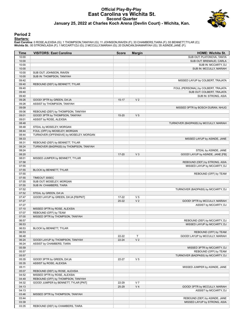#### **Official Play-By-Play East Carolina vs Wichita St. Second Quarter January 25, 2022 at Charles Koch Arena (Devlin Court) - Wichita, Kan.**



#### **Period 2**

#### **Starters:**

East Carolina: 0 ROSE,ALEXSIA (G); 1 THOMPSON,TANIYAH (G); 11 JOHNSON,RAVEN (F); 33 CHAMBERS,TIARA (F); 55 BENNETT,TYLAR (C);<br>**Wichita St.**: 00 STRONG,ASIA (F); 1 MCCARTY,DJ (G); 2 MCCULLY,MARIAH (G); 20 DUNCAN,SHAMARYAH (

| Time           | <b>VISITORS: East Carolina</b>          | <b>Score</b> | <b>Margin</b>  | <b>HOME: Wichita St.</b>                                         |
|----------------|-----------------------------------------|--------------|----------------|------------------------------------------------------------------|
| 10:00          |                                         |              |                | SUB OUT: PLATONOVA, TANYA                                        |
| 10:00          |                                         |              |                | SUB OUT: BREMAUD, CARLA                                          |
| 10:00          |                                         |              |                | SUB IN: MCCARTY, DJ                                              |
| 10:00          |                                         |              |                | SUB IN: MCCULLY, MARIAH                                          |
| 10:00          | SUB OUT: JOHNSON, RAVEN                 |              |                |                                                                  |
| 10:00          | SUB IN: THOMPSON, TANIYAH               |              |                |                                                                  |
| 09:42          |                                         |              |                | MISSED LAYUP by COLBERT, TRAJATA                                 |
| 09:40          | REBOUND (DEF) by BENNETT, TYLAR         |              |                |                                                                  |
| 09:40<br>09:40 |                                         |              |                | FOUL (PERSONAL) by COLBERT, TRAJATA<br>SUB OUT: COLBERT, TRAJATA |
| 09:40          |                                         |              |                | SUB IN: STRONG, ASIA                                             |
| 09:26          | GOOD! 3PTR by GREEN, DA'JA              | $15 - 17$    | V <sub>2</sub> |                                                                  |
| 09:26          | ASSIST by THOMPSON, TANIYAH             |              |                |                                                                  |
| 09:09          |                                         |              |                | MISSED 3PTR by BOSCH DURAN, NHUG                                 |
| 09:06          | REBOUND (DEF) by THOMPSON, TANIYAH      |              |                |                                                                  |
| 09:01          | GOOD! 3PTR by THOMPSON, TANIYAH         | $15 - 20$    | V <sub>5</sub> |                                                                  |
| 09:01          | ASSIST by ROSE, ALEXSIA                 |              |                |                                                                  |
| 08:48          |                                         |              |                | TURNOVER (BADPASS) by MCCULLY, MARIAH                            |
| 08:48          | STEAL by MOSELEY, MORGAN                |              |                |                                                                  |
| 08:44          | FOUL (OFF) by MOSELEY, MORGAN           |              |                |                                                                  |
| 08:44          | TURNOVER (OFFENSIVE) by MOSELEY, MORGAN |              |                |                                                                  |
| 08:33          |                                         |              |                | MISSED LAYUP by ASINDE, JANE                                     |
| 08:31          | REBOUND (DEF) by BENNETT, TYLAR         |              |                |                                                                  |
| 08:24          | TURNOVER (BADPASS) by THOMPSON, TANIYAH |              |                |                                                                  |
| 08:24          |                                         |              |                | STEAL by ASINDE, JANE                                            |
| 08:20          |                                         | $17 - 20$    | $V_3$          | GOOD! LAYUP by ASINDE, JANE [FB]                                 |
| 08:01          | MISSED JUMPER by BENNETT, TYLAR         |              |                |                                                                  |
| 07:58          |                                         |              |                | REBOUND (DEF) by STRONG, ASIA                                    |
| 07:55          |                                         |              |                | MISSED LAYUP by MCCARTY, DJ                                      |
| 07:55          | BLOCK by BENNETT, TYLAR                 |              |                |                                                                  |
| 07:55          |                                         |              |                | REBOUND (OFF) by TEAM                                            |
| 07:55          | TIMEOUT 30SEC                           |              |                |                                                                  |
| 07:55<br>07:55 | SUB OUT: MOSELEY, MORGAN                |              |                |                                                                  |
| 07:52          | SUB IN: CHAMBERS, TIARA                 |              |                | TURNOVER (BADPASS) by MCCARTY, DJ                                |
| 07:52          | STEAL by GREEN, DA'JA                   |              |                |                                                                  |
| 07:47          | GOOD! LAYUP by GREEN, DA'JA [FB/PNT]    | $17-22$      | V <sub>5</sub> |                                                                  |
| 07:27          |                                         | $20 - 22$    | V <sub>2</sub> | GOOD! 3PTR by MCCULLY, MARIAH                                    |
| 07:27          |                                         |              |                | ASSIST by MCCARTY, DJ                                            |
| 07:10          | MISSED 3PTR by ROSE, ALEXSIA            |              |                |                                                                  |
| 07:07          | REBOUND (OFF) by TEAM                   |              |                |                                                                  |
| 07:00          | MISSED 3PTR by THOMPSON, TANIYAH        |              |                |                                                                  |
| 06:57          |                                         |              |                | REBOUND (DEF) by MCCARTY, DJ                                     |
| 06:53          |                                         |              |                | MISSED LAYUP by MCCARTY, DJ                                      |
| 06:53          | BLOCK by BENNETT, TYLAR                 |              |                |                                                                  |
| 06:53          |                                         |              |                | REBOUND (OFF) by TEAM                                            |
| 06:48          |                                         | 22-22        | Τ              | GOOD! LAYUP by MCCULLY, MARIAH                                   |
| 06:24          | GOOD! LAYUP by THOMPSON, TANIYAH        | $22 - 24$    | V <sub>2</sub> |                                                                  |
| 06:24          | ASSIST by CHAMBERS, TIARA               |              |                |                                                                  |
| 05:59          |                                         |              |                | MISSED 3PTR by MCCARTY, DJ                                       |
| 05:57          |                                         |              |                | REBOUND (OFF) by TEAM                                            |
| 05:57          |                                         |              |                | TURNOVER (BADPASS) by MCCARTY, DJ                                |
| 05:35          | GOOD! 3PTR by GREEN, DA'JA              | 22-27        | V <sub>5</sub> |                                                                  |
| 05:35          | ASSIST by ROSE, ALEXSIA                 |              |                |                                                                  |
| 05:11          |                                         |              |                | MISSED JUMPER by ASINDE, JANE                                    |
| 05:07          | REBOUND (DEF) by ROSE, ALEXSIA          |              |                |                                                                  |
| 04:52          | MISSED 3PTR by ROSE, ALEXSIA            |              |                |                                                                  |
| 04:49<br>04:32 | REBOUND (OFF) by THOMPSON, TANIYAH      | 22-29        | V <sub>7</sub> |                                                                  |
| 04:13          | GOOD! JUMPER by BENNETT, TYLAR [PNT]    | 25-29        | V <sub>4</sub> | GOOD! 3PTR by MCCULLY, MARIAH                                    |
| 04:13          |                                         |              |                | ASSIST by MCCARTY, DJ                                            |
| 03:46          | MISSED 3PTR by THOMPSON, TANIYAH        |              |                |                                                                  |
| 03:44          |                                         |              |                | REBOUND (DEF) by ASINDE, JANE                                    |
| 03:39          |                                         |              |                | MISSED LAYUP by STRONG, ASIA                                     |
| 03:35          | REBOUND (DEF) by CHAMBERS, TIARA        |              |                |                                                                  |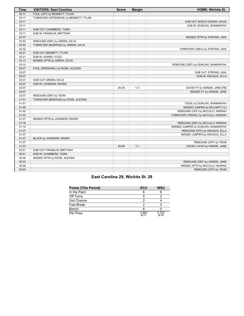| <b>Time</b> | <b>VISITORS: East Carolina</b>         | <b>Score</b> | <b>Margin</b>  | <b>HOME: Wichita St.</b>             |
|-------------|----------------------------------------|--------------|----------------|--------------------------------------|
| 03:11       | FOUL (OFF) by BENNETT, TYLAR           |              |                |                                      |
| 03:11       | TURNOVER (OFFENSIVE) by BENNETT, TYLAR |              |                |                                      |
| 03:11       |                                        |              |                | SUB OUT: BOSCH DURAN, NHUG           |
| 03:11       |                                        |              |                | SUB IN: DUNCAN, SHAMARYAH            |
| 03:11       | SUB OUT: CHAMBERS, TIARA               |              |                |                                      |
| 03:11       | SUB IN: FRANKLIN, BRITTANY             |              |                |                                      |
| 02:57       |                                        |              |                | MISSED 3PTR by STRONG, ASIA          |
| 02:53       | REBOUND (DEF) by GREEN, DA'JA          |              |                |                                      |
| 02:50       | TURNOVER (BADPASS) by GREEN, DA'JA     |              |                |                                      |
| 02:32       |                                        |              |                | TURNOVER (3SEC) by STRONG, ASIA      |
| 02:21       | SUB OUT: BENNETT, TYLAR                |              |                |                                      |
| 02:21       | SUB IN: ADAMS, IYCEZ                   |              |                |                                      |
| 02:13       | MISSED 3PTR by GREEN, DA'JA            |              |                |                                      |
| 02:10       |                                        |              |                | REBOUND (DEF) by DUNCAN, SHAMARYAH   |
| 02:07       | FOUL (PERSONAL) by ROSE, ALEXSIA       |              |                |                                      |
| 02:07       |                                        |              |                | SUB OUT: STRONG, ASIA                |
| 02:07       |                                        |              |                | SUB IN: ANCIAUX, ELLA                |
| 02:07       | SUB OUT: GREEN, DA'JA                  |              |                |                                      |
| 02:07       | SUB IN: JOHNSON, RAVEN                 |              |                |                                      |
| 02:07       |                                        | 26-29        | $V_3$          | GOOD! FT by ASINDE, JANE [FB]        |
| 02:07       |                                        |              |                | MISSED FT by ASINDE, JANE            |
| 02:07       | REBOUND (DEF) by TEAM                  |              |                |                                      |
| 01:51       | TURNOVER (BADPASS) by ROSE, ALEXSIA    |              |                |                                      |
| 01:51       |                                        |              |                | STEAL by DUNCAN, SHAMARYAH           |
| 01:46       |                                        |              |                | MISSED JUMPER by MCCARTY, DJ         |
| 01:42       |                                        |              |                | REBOUND (OFF) by MCCULLY, MARIAH     |
| 01:42       |                                        |              |                | TURNOVER (TRAVEL) by MCCULLY, MARIAH |
| 01:21       | MISSED 3PTR by JOHNSON, RAVEN          |              |                |                                      |
| 01:18       |                                        |              |                | REBOUND (DEF) by MCCULLY, MARIAH     |
| 01:10       |                                        |              |                | MISSED JUMPER by DUNCAN, SHAMARYAH   |
| 01:07       |                                        |              |                | REBOUND (OFF) by ANCIAUX, ELLA       |
| 01:07       |                                        |              |                | MISSED JUMPER by ANCIAUX, ELLA       |
| 01:07       | BLOCK by JOHNSON, RAVEN                |              |                |                                      |
| 01:07       |                                        |              |                | REBOUND (OFF) by TEAM                |
| 01:03       |                                        | 28-29        | V <sub>1</sub> | GOOD! LAYUP by ASINDE, JANE          |
| 00:51       | SUB OUT: FRANKLIN, BRITTANY            |              |                |                                      |
| 00:51       | SUB IN: CHAMBERS, TIARA                |              |                |                                      |
| 00:36       | MISSED 3PTR by ROSE, ALEXSIA           |              |                |                                      |
| 00:33       |                                        |              |                | REBOUND (DEF) by ASINDE, JANE        |
| 00:08       |                                        |              |                | MISSED 3PTR by MCCULLY, MARIAH       |
| 00:00       |                                        |              |                | REBOUND (OFF) by TEAM                |

# **East Carolina 29, Wichita St. 28**

| <b>Points (This Period)</b> | ECU           | <b>WSU</b>    |
|-----------------------------|---------------|---------------|
| In the Paint                | հ             |               |
| Off Turns                   |               |               |
| 2nd Chance                  |               |               |
| <b>Fast Break</b>           |               |               |
| Bench                       |               |               |
| Per Poss                    | 0.882<br>6/17 | 0.722<br>6/18 |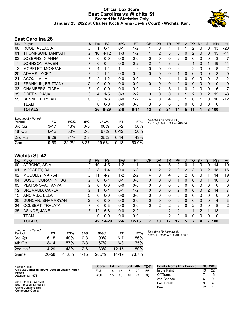### **Official Box Score East Carolina vs Wichita St. Second Half Statistics Only January 25, 2022 at Charles Koch Arena (Devlin Court) - Wichita, Kan.**



# **East Carolina 26**

| No. | Player                    | S  | <b>Pts</b> | FG       | 3FG     | <b>FT</b> | <b>OR</b>      | <b>DR</b>    | TR       | <b>PF</b>     | A | TO            | <b>B</b> lk | Stl            | <b>Min</b>   | $+/-$ |
|-----|---------------------------|----|------------|----------|---------|-----------|----------------|--------------|----------|---------------|---|---------------|-------------|----------------|--------------|-------|
| 00  | ROSE, ALEXSIA             | G  |            | $0 - 1$  | $0 - 1$ | $1 - 2$   |                | 0            |          |               |   | 2             | 0           | 0              | 13           | $-20$ |
| 01  | THOMPSON, TANIYAH         | G  | 10         | $4 - 12$ | $1 - 3$ | $1 - 2$   |                | 2            | 3        | 0             | 0 | 2             | $\Omega$    | 0              | 15           | $-11$ |
| 03  | <b>JOSEPHS, XIANNA</b>    | F  | 0          | $0 - 0$  | $0 - 0$ | $0 - 0$   | 0              | 0            | 0        | 2             | 0 | 0             | $\Omega$    | 0              | 3            | $-7$  |
| 11  | <b>JOHNSON, RAVEN</b>     | F. | 0          | $0 - 4$  | $0 - 0$ | $0 - 2$   | $\overline{2}$ | 1            | 3        | $\mathcal{P}$ |   |               | 0           |                | 19           | $-11$ |
| 12  | MOSELEY, MORGAN           | F  | 4          | $1 - 1$  | $1 - 1$ | $1 - 2$   | 0              | 0            | 0        | 2             |   | 2             | $\Omega$    | 0              | 8            | $-2$  |
| 20  | ADAMS, IYCEZ              | F  | 2          | $1 - 1$  | $0 - 0$ | $0 - 2$   | 0              | $\mathbf{0}$ | 0        |               | 0 | $\mathbf{0}$  | $\Omega$    | 0              | 8            | 0     |
| 21  | ACOX, LAILA               | F  | 2          | $1 - 2$  | $0 - 0$ | $0 - 0$   | 1              | $\Omega$     | 1        | 1             | 0 | 0             | 0           | 0              | 2            | $-2$  |
| 31  | <b>FRANKLIN, BRITTANY</b> | C  | $\Omega$   | $0 - 0$  | $0 - 0$ | $0 - 0$   | 0              | 0            | $\Omega$ | 0             | 0 | 0             | $\Omega$    | $\Omega$       | $\mathbf{0}$ | 0     |
| 33  | CHAMBERS, TIARA           | F  | 0          | $0 - 0$  | $0 - 0$ | $0 - 0$   |                | 2            | 3        |               | 0 | 2             | 0           | 0              | 6            | $-7$  |
| 35  | <b>GREEN, DA'JA</b>       | G  | 4          | $1 - 5$  | $0 - 3$ | $2 - 2$   | 0              | $\Omega$     | 0        | 1             |   | $\mathcal{P}$ | $\Omega$    | $\overline{2}$ | 15           | -8    |
| 55  | <b>BENNETT, TYLAR</b>     | C  | 3          | $1 - 3$  | $0 - 0$ | $1 - 2$   | 4              | $\Omega$     | 4        | 3             |   | 0             |             | 0              | 10           | $-12$ |
|     | <b>TEAM</b>               |    | 0          | $0 - 0$  | $0 - 0$ | $0 - 0$   | 3              | 3            | 6        | 0             | 0 | 0             | $\Omega$    | 0              | 0            |       |
|     | <b>TOTALS</b>             |    | 26         | $9 - 29$ | $2 - 8$ | $6 - 14$  | 13             | 8            | 21       | 14            | 5 | 11            |             | 3              | 100          |       |

| <b>Shooting By Period</b><br>Period | FG       | FG%   | 3FG     | 3FG%  | FT       | Dι<br>FT% |
|-------------------------------------|----------|-------|---------|-------|----------|-----------|
| 3rd Qtr                             | $3 - 17$ | 18%   | 0-5     | 00%   | $0 - 2$  | 00%       |
| 4th Qtr                             | $6-12$   | 50%   | $2 - 3$ | 67%   | $6-12$   | 50%       |
| 2nd Half                            | $9 - 29$ | 31%   | $2 - 8$ | 25%   | ჩ-14     | 43%       |
| Game                                | 19-59    | 32.2% | 8-27    | 29.6% | $9 - 18$ | 50.0%     |

*Deadball Rebounds:* 6,0 *Last FG Half:* ECU 4th-00:04

# **Wichita St. 42**

| No.     | Plaver                   | S  | Pts      | FG        | 3FG     | <b>FT</b> | <b>OR</b> | <b>DR</b> | TR           | PF       | A        | TO | <b>Blk</b> | Stl      | Min | $+/-$       |
|---------|--------------------------|----|----------|-----------|---------|-----------|-----------|-----------|--------------|----------|----------|----|------------|----------|-----|-------------|
| 00      | STRONG, ASIA             | F. | 10       | $4 - 5$   | $1 - 2$ | 1-1       |           | 4         | 5            | 2        | $\Omega$ |    | 0          | 0        | 14  | 19          |
| 01      | <b>MCCARTY, DJ</b>       | G  | 8        | $1 - 4$   | $0 - 0$ | $6 - 8$   | 0         | 2         | 2            | $\Omega$ | 2        | 3  | 0          | 2        | 18  | 16          |
| 02      | <b>MCCULLY, MARIAH</b>   | G  | 11       | $4 - 7$   | $1 - 2$ | $2 - 2$   | 4         | 0         | 4            | 3        | 2        | 0  | 0          |          | 14  | 19          |
| 04      | <b>BOSCH DURAN, NHUG</b> | G  | $\Omega$ | $0 - 1$   | 0-1     | $0 - 0$   | 0         | 0         | 0            |          | 0        | 0  | 0          |          | 10  | 3           |
| 05      | PLATONOVA, TANYA         | G  | 0        | $0 - 0$   | $0 - 0$ | $0 - 0$   | 0         | 0         | 0            | 0        | O        |    | 0          | 0        | 0   | 0           |
| $12 \,$ | <b>BREMAUD, CARLA</b>    | G  |          | $0 - 1$   | $0 - 1$ | $1 - 2$   | 0         | $\Omega$  | 0            | 2        | 0        | 0  | 0          | 2        | 14  | 7           |
| 13      | ANCIAUX, ELLA            | C  | 0        | $0 - 0$   | $0 - 0$ | $0 - 0$   | 0         | 0         | $\mathbf{0}$ | 0        | 0        | 0  | 0          | 0        | 0   | $\mathbf 0$ |
| 20      | DUNCAN, SHAMARYAH        | G  | $\Omega$ | $0 - 0$   | $0 - 0$ | $0 - 0$   | $\Omega$  | $\Omega$  | 0            | $\Omega$ | 0        | 0  | $\Omega$   | $\Omega$ | 4   | 3           |
| 24      | <b>COLBERT, TRAJATA</b>  | F  | 0        | $0 - 3$   | $0 - 0$ | $0 - 0$   | 0         | 2         | 2            | 2        | 0        | 2  | 2          | $\Omega$ | 8   | 2           |
| 35      | ASINDE, JANE             | F. | 12       | $5-8$     | $0 - 0$ | $2 - 2$   |           |           | 2            | 2        |          |    | 2          |          | 18  | 11          |
|         | <b>TEAM</b>              |    | 0        | $0 - 0$   | $0 - 0$ | $0 - 0$   |           |           | 2            | $\Omega$ | 0        | 0  | 0          | 0        | 0   |             |
|         | <b>TOTALS</b>            |    | 42       | $14 - 29$ | $2 - 6$ | $12 - 15$ |           | 10        | 17           | 12       | 5        |    | 4          |          | 100 |             |

| Shooting By Period<br>Period | FG       | FG%   | 3FG      | 3FG%   | FT        | FT%   |
|------------------------------|----------|-------|----------|--------|-----------|-------|
| 3rd Qtr                      | 6-15     | 40%   | $0 - 3$  | $00\%$ | 6-7       | 86%   |
| 4th Otr                      | $8 - 14$ | 57%   | $2-3$    | 67%    | 6-8       | 75%   |
| 2nd Half                     | 14-29    | 48%   | $2-6$    | 33%    | $12 - 15$ | 80%   |
| Game                         | 26-58    | 44.8% | $4 - 15$ | 26.7%  | $14 - 19$ | 73.7% |

*Deadball Rebounds:* 5,1 *Last FG Half:* WSU 4th-00:49

| Game Notes:                                                | <b>Score</b> | 1st | 2nd | 3rd | 4th | <b>TOT</b> | <b>Points from (This Period)</b> |    | <b>ECU WSU</b> |
|------------------------------------------------------------|--------------|-----|-----|-----|-----|------------|----------------------------------|----|----------------|
| Officials: Cameron Inouye, Joseph Vaszily, Karen<br>Preato | ECU          | 14  |     |     | 20  | 55         | In the Paint                     | 10 | 22             |
| Attendance: 1075                                           | WSU          | 15  |     | 18  | 24  | 70         | Off Turns                        |    | 16             |
|                                                            |              |     |     |     |     |            | 2nd Chance                       |    |                |
| Start Time: 07:02 PM ET<br>End Time: 08:53 PM ET           |              |     |     |     |     |            | <b>Fast Break</b>                |    |                |
| Game Duration: 1:51                                        |              |     |     |     |     |            | Bench                            |    |                |

Game Duration: **1:51** Conference Game;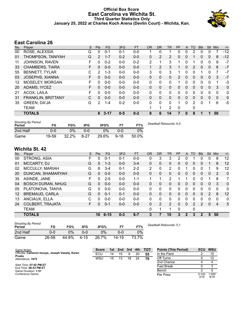### **Official Box Score East Carolina vs Wichita St. Third Quarter Statistics Only January 25, 2022 at Charles Koch Arena (Devlin Court) - Wichita, Kan.**



# **East Carolina 26**

| No. | Plaver                 | S | <b>Pts</b>     | <b>FG</b> | 3FG     | <b>FT</b> | <b>OR</b>    | <b>DR</b>    | TR | PF       | A        | TO | <b>Blk</b> | <b>Stl</b>   | <b>Min</b> | $+/-$ |
|-----|------------------------|---|----------------|-----------|---------|-----------|--------------|--------------|----|----------|----------|----|------------|--------------|------------|-------|
| 00  | ROSE, ALEXSIA          | G | 0              | $0 - 1$   | $0 - 1$ | $0 - 0$   |              | 0            |    | 0        | 0        | 2  | 0          |              |            | -12   |
| 01  | THOMPSON, TANIYAH      | G | $\overline{2}$ | $1 - 7$   | $0 - 2$ | $0 - 0$   | 0            | 2            | 2  | 0        | $\Omega$ |    | 0          | $\mathbf{0}$ | 8          | $-12$ |
| 11  | JOHNSON, RAVEN         | F | 0              | $0 - 2$   | $0 - 0$ | $0 - 2$   | 2            |              | 3  |          | 0        |    | 0          | 0            | 9          | $-7$  |
| 33  | <b>CHAMBERS, TIARA</b> | F | 0              | $0 - 0$   | $0 - 0$ | $0 - 0$   | $\mathbf{1}$ | 2            | 3  |          | $\Omega$ | 2  | 0          | $\Omega$     | 6          | $-7$  |
| 55  | BENNETT, TYLAR         | C | $\overline{2}$ | $1 - 3$   | $0 - 0$ | $0 - 0$   | 3            | $\Omega$     | 3  | 1        | $\Omega$ | 0  |            | 0            | 7          | $-7$  |
| 03  | JOSEPHS, XIANNA        | F | 0              | $0 - 0$   | $0 - 0$ | $0 - 0$   | 0            | $\mathbf{0}$ | 0  | 2        | $\Omega$ | 0  | 0          | $\mathbf{0}$ | 3          | $-7$  |
| 12  | MOSELEY, MORGAN        | F | 0              | $0 - 0$   | $0 - 0$ | $0 - 0$   | 0            | 0            | 0  |          | 0        | 0  | 0          | 0            | 1          | -3    |
| 20  | ADAMS, IYCEZ           | F | 0              | $0 - 0$   | $0 - 0$ | $0 - 0$   | 0            | $\Omega$     | 0  | 0        | $\Omega$ | 0  | 0          | $\Omega$     | 3          | 0     |
| 21  | ACOX, LAILA            | F | 0              | $0 - 0$   | $0 - 0$ | $0 - 0$   | 0            | 0            | 0  | 0        | $\Omega$ | 0  | 0          | $\Omega$     | $\Omega$   | 0     |
| 31  | FRANKLIN, BRITTANY     | C | 0              | $0 - 0$   | $0 - 0$ | $0 - 0$   | $\Omega$     | $\Omega$     | 0  | $\Omega$ | $\Omega$ | 0  | 0          | $\Omega$     | $\Omega$   | 0     |
| 35  | <b>GREEN, DA'JA</b>    | G | 2              | 1-4       | $0 - 2$ | $0 - 0$   | $\Omega$     | $\mathbf{0}$ | 0  |          | $\Omega$ | 2  | 0          |              | 6          | $-5$  |
|     | TEAM                   |   |                |           |         |           |              | 1            | 2  | 0        |          | 0  |            |              |            |       |
|     | <b>TOTALS</b>          |   | 6              | $3 - 17$  | $0 - 5$ | $0 - 2$   | 8            | 6            | 14 | 7        | $\bf{0}$ | 8  |            |              | 50         |       |

| <b>Shooting By Period</b><br>Period | FG    | FG%   | 3FG      | 3FG%  | FТ       | FT%   | Deadball Rebounds: 6,0 |
|-------------------------------------|-------|-------|----------|-------|----------|-------|------------------------|
| 2nd Half                            | 0-0   | 0%    | 0-0      | $0\%$ | ი-ი      | 0%    |                        |
| Game                                | 19-59 | 32.2% | $8 - 27$ | 29.6% | $9 - 18$ | 50.0% |                        |

### **Wichita St. 42**

| No. | Player                   | S  | Pts          | FG       | 3FG     | <b>FT</b> | 0R           | DR | <b>TR</b>      | <b>PF</b> | A              | TO           | <b>B</b> lk    | Stl           | Min            | $+/-$        |
|-----|--------------------------|----|--------------|----------|---------|-----------|--------------|----|----------------|-----------|----------------|--------------|----------------|---------------|----------------|--------------|
| 00  | STRONG, ASIA             | F  | 0            | $0 - 1$  | $0 - 1$ | $0 - 0$   | 0            | 3  | 3              | 2         | 0              |              | 0              | 0             | 8              | 12           |
| 01  | MCCARTY, DJ              | G  | 5            | $1 - 3$  | $0 - 0$ | $3 - 4$   | $\mathbf{0}$ | 0  | 0              | 0         | 0              | $\Omega$     | 0              |               | 8              | 12           |
| 02  | MCCULLY, MARIAH          | G  | 8            | $3 - 4$  | $0 - 1$ | $2 - 2$   | 2            | 0  | 2              | 0         |                | 0            | 0              |               | 9              | 12           |
| 20  | DUNCAN, SHAMARYAH        | G  | 0            | $0 - 0$  | $0 - 0$ | $0 - 0$   | $\Omega$     | 0  | 0              | 0         | $\mathbf{0}$   | $\mathbf{0}$ | 0              | $\mathbf{0}$  | 2              | $\Omega$     |
| 35  | ASINDE, JANE             | F  | 5            | $2 - 5$  | $0 - 0$ | $1 - 1$   | 1            |    | 2              |           |                | 0            | 0              |               | 8              | 7            |
| 04  | <b>BOSCH DURAN, NHUG</b> | G  | 0            | $0 - 0$  | $0 - 0$ | $0 - 0$   | $\mathbf{0}$ | 0  | $\mathbf{0}$   | 0         | $\mathbf{0}$   | $\Omega$     | 0              | $\mathbf{0}$  | 3              | $\mathbf{0}$ |
| 05  | PLATONOVA, TANYA         | G  | 0            | $0 - 0$  | $0 - 0$ | $0-0$     | 0            | 0  | 0              | 0         | 0              | 0            | 0              | 0             | 0              | 0            |
| 12  | <b>BREMAUD, CARLA</b>    | G  | $\Omega$     | $0 - 1$  | $0 - 1$ | $0 - 0$   | $\mathbf{0}$ | 0  | 0              | 0         | $\mathbf{0}$   | $\Omega$     | 0              | $\mathcal{P}$ | 8              | 12           |
| 13  | ANCIAUX, ELLA            | C  | <sup>0</sup> | $0 - 0$  | $0 - 0$ | $0 - 0$   | 0            | 0  | 0              | 0         | 0              | 0            | 0              | $\Omega$      | $\Omega$       | 0            |
| 24  | <b>COLBERT, TRAJATA</b>  | F. | 0            | $0 - 1$  | $0 - 0$ | $0 - 0$   | $\Omega$     | 2  | $\overline{2}$ | 0         | 0              | 2            | 2              | $\mathbf{0}$  | $\overline{4}$ | 5            |
|     | <b>TEAM</b>              |    |              |          |         |           | 0            | 1  | 1              | 0         |                | 0            |                |               |                |              |
|     | <b>TOTALS</b>            |    | 18           | $6 - 15$ | $0 - 3$ | $6 - 7$   | 3            | 7  | 10             | 3         | $\overline{2}$ | 3            | $\overline{2}$ | 5             | 50             |              |
|     |                          |    |              |          |         |           |              |    |                |           |                |              |                |               |                |              |

| <b>Shooting By Period</b><br>Period | FG    | FG%   | 3FG      | 3FG%  |       | FT%   | Deadball Rebounds: 5,1 |
|-------------------------------------|-------|-------|----------|-------|-------|-------|------------------------|
| 2nd Half                            | 0-0   | 0%    | 0-0      | $0\%$ | 0-0   | 0%    |                        |
| Game                                | 26-58 | 44.8% | $4 - 15$ | 26.7% | 14-19 | 73.7% |                        |

| Game Notes:                                                | <b>Score</b> | 1st l | 2nd | 3rd | 4th | <b>TOT</b> | <b>Points (This Period)</b> | ECU           | <b>WSU</b>    |
|------------------------------------------------------------|--------------|-------|-----|-----|-----|------------|-----------------------------|---------------|---------------|
| Officials: Cameron Inouye, Joseph Vaszily, Karen<br>Preato | ECU          | 14    | 15  | 6   | 20  | 55         | In the Paint                |               | 10            |
| Attendance: 1075                                           | WSU          | 15    | 13  | 18  | 24  | 70         | Off Turns                   |               | 12            |
|                                                            |              |       |     |     |     |            | 2nd Chance                  |               |               |
| Start Time: 07:02 PM ET<br>End Time: 08:53 PM ET           |              |       |     |     |     |            | <b>Fast Break</b>           |               |               |
| Game Duration: 1:51                                        |              |       |     |     |     |            | Bench                       |               |               |
| Conference Game:                                           |              |       |     |     |     |            | Per Poss                    | 0.333<br>3/18 | 1.000<br>9/18 |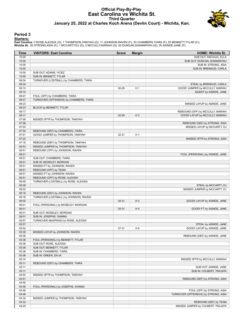#### **Official Play-By-Play East Carolina vs Wichita St. Third Quarter January 25, 2022 at Charles Koch Arena (Devlin Court) - Wichita, Kan.**



#### **Period 3**

#### **Starters:**

East Carolina: 0 ROSE,ALEXSIA (G); 1 THOMPSON,TANIYAH (G); 11 JOHNSON,RAVEN (F); 33 CHAMBERS,TIARA (F); 55 BENNETT,TYLAR (C);<br>**Wichita St.**: 00 STRONG,ASIA (F); 1 MCCARTY,DJ (G); 2 MCCULLY,MARIAH (G); 20 DUNCAN,SHAMARYAH (

| Time           | <b>VISITORS: East Carolina</b>                                           | <b>Score</b> | <b>Margin</b>  | <b>HOME: Wichita St.</b>             |
|----------------|--------------------------------------------------------------------------|--------------|----------------|--------------------------------------|
| 10:00          |                                                                          |              |                | SUB OUT: ANCIAUX, ELLA               |
| 10:00          |                                                                          |              |                | SUB OUT: DUNCAN, SHAMARYAH           |
| 10:00          |                                                                          |              |                | SUB IN: STRONG, ASIA                 |
| 10:00          |                                                                          |              |                | SUB IN: BREMAUD, CARLA               |
| 10:00          | SUB OUT: ADAMS, IYCEZ                                                    |              |                |                                      |
| 10:00          | SUB IN: BENNETT, TYLAR                                                   |              |                |                                      |
| 09:34          | TURNOVER (LOSTBALL) by CHAMBERS, TIARA                                   |              |                |                                      |
| 09:34          |                                                                          |              |                | STEAL by BREMAUD, CARLA              |
| 09:10          |                                                                          | 30-29        | H <sub>1</sub> | GOOD! JUMPER by MCCULLY, MARIAH      |
| 09:10          |                                                                          |              |                | ASSIST by ASINDE, JANE               |
| 08:47          | FOUL (OFF) by CHAMBERS, TIARA                                            |              |                |                                      |
| 08:47          | TURNOVER (OFFENSIVE) by CHAMBERS, TIARA                                  |              |                |                                      |
| 08:23          |                                                                          |              |                | MISSED LAYUP by ASINDE, JANE         |
| 08:23          | BLOCK by BENNETT, TYLAR                                                  |              |                |                                      |
| 08:17          |                                                                          |              |                | REBOUND (OFF) by MCCULLY, MARIAH     |
| 08:17          |                                                                          | 32-29        | $H_3$          | GOOD! LAYUP by MCCULLY, MARIAH       |
| 07:59          | MISSED 3PTR by THOMPSON, TANIYAH                                         |              |                |                                      |
| 07:56          |                                                                          |              |                | REBOUND (DEF) by STRONG, ASIA        |
| 07:53          |                                                                          |              |                | MISSED LAYUP by MCCARTY, DJ          |
| 07:50<br>07:41 | REBOUND (DEF) by CHAMBERS, TIARA                                         |              |                |                                      |
|                | GOOD! JUMPER by THOMPSON, TANIYAH                                        | 32-31        | H <sub>1</sub> |                                      |
| 07:22<br>07:18 |                                                                          |              |                | MISSED 3PTR by STRONG, ASIA          |
| 06:53          | REBOUND (DEF) by THOMPSON, TANIYAH<br>MISSED JUMPER by THOMPSON, TANIYAH |              |                |                                      |
| 06:51          |                                                                          |              |                |                                      |
| 06:51          | REBOUND (OFF) by JOHNSON, RAVEN                                          |              |                | FOUL (PERSONAL) by ASINDE, JANE      |
| 06:51          | SUB OUT: CHAMBERS, TIARA                                                 |              |                |                                      |
| 06:51          | SUB IN: MOSELEY, MORGAN                                                  |              |                |                                      |
| 06:51          | MISSED FT by JOHNSON, RAVEN                                              |              |                |                                      |
| 06:51          | REBOUND (OFF) by TEAM                                                    |              |                |                                      |
| 06:51          | MISSED FT by JOHNSON, RAVEN                                              |              |                |                                      |
| 06:51          | REBOUND (OFF) by ROSE, ALEXSIA                                           |              |                |                                      |
| 06:49          | TURNOVER (LOSTBALL) by ROSE, ALEXSIA                                     |              |                |                                      |
| 06:49          |                                                                          |              |                | STEAL by MCCARTY, DJ                 |
| 06:22          |                                                                          |              |                | MISSED JUMPER by MCCARTY, DJ         |
| 06:18          | REBOUND (DEF) by JOHNSON, RAVEN                                          |              |                |                                      |
| 06:18          | TURNOVER (LOSTBALL) by JOHNSON, RAVEN                                    |              |                |                                      |
| 06:02          |                                                                          | $34 - 31$    | $H_3$          | GOOD! LAYUP by ASINDE, JANE          |
| 06:01          | FOUL (PERSONAL) by MOSELEY, MORGAN                                       |              |                |                                      |
| 06:01          |                                                                          | 35-31        | H4             | GOOD! FT by ASINDE, JANE             |
| 06:01          | SUB OUT: MOSELEY, MORGAN                                                 |              |                |                                      |
| 06:01          | SUB IN: JOSEPHS, XIANNA                                                  |              |                |                                      |
| 05:57          | TURNOVER (BADPASS) by ROSE, ALEXSIA                                      |              |                |                                      |
| 05:57          |                                                                          |              |                | STEAL by ASINDE, JANE                |
| 05:52          |                                                                          | 37-31        | H <sub>6</sub> | GOOD! LAYUP by ASINDE, JANE          |
| 05:39          | MISSED LAYUP by JOHNSON, RAVEN                                           |              |                |                                      |
| 05:36          |                                                                          |              |                | REBOUND (DEF) by ASINDE, JANE        |
| 05:36          | FOUL (PERSONAL) by BENNETT, TYLAR                                        |              |                |                                      |
| 05:36          | SUB OUT: ROSE, ALEXSIA                                                   |              |                |                                      |
| 05:36          | SUB OUT: BENNETT, TYLAR                                                  |              |                |                                      |
| 05:36          | SUB IN: CHAMBERS, TIARA                                                  |              |                |                                      |
| 05:36          | SUB IN: GREEN, DA'JA                                                     |              |                |                                      |
| 05:14          |                                                                          |              |                | MISSED 3PTR by MCCULLY, MARIAH       |
| 05:11          | REBOUND (DEF) by CHAMBERS, TIARA                                         |              |                |                                      |
| 05:11          |                                                                          |              |                | SUB OUT: ASINDE, JANE                |
| 05:11          |                                                                          |              |                | SUB IN: COLBERT, TRAJATA             |
| 04:54<br>04:51 | MISSED 3PTR by THOMPSON, TANIYAH                                         |              |                |                                      |
| 04:46          |                                                                          |              |                | REBOUND (DEF) by STRONG, ASIA        |
| 04:46          | FOUL (PERSONAL) by JOSEPHS, XIANNA                                       |              |                |                                      |
| 04:46          |                                                                          |              |                | FOUL (OFF) by STRONG, ASIA           |
| 04:46          |                                                                          |              |                | TURNOVER (OFFENSIVE) by STRONG, ASIA |
| 04:34          | MISSED JUMPER by THOMPSON, TANIYAH                                       |              |                |                                      |
| 04:32          |                                                                          |              |                | REBOUND (DEF) by TEAM                |
| 04:20          |                                                                          |              |                | MISSED JUMPER by COLBERT, TRAJATA    |
|                |                                                                          |              |                |                                      |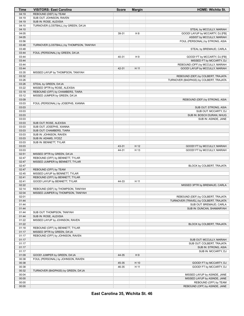| Time  | <b>VISITORS: East Carolina</b>           | <b>Score</b> | <b>Margin</b>  | <b>HOME: Wichita St.</b>               |
|-------|------------------------------------------|--------------|----------------|----------------------------------------|
| 04:19 | REBOUND (DEF) by TEAM                    |              |                |                                        |
| 04:19 | SUB OUT: JOHNSON, RAVEN                  |              |                |                                        |
| 04:19 | SUB IN: ROSE, ALEXSIA                    |              |                |                                        |
| 04:10 | TURNOVER (LOSTBALL) by GREEN, DA'JA      |              |                |                                        |
| 04:10 |                                          |              |                | STEAL by MCCULLY, MARIAH               |
| 04:05 |                                          | 39-31        | H <sub>8</sub> | GOOD! LAYUP by MCCARTY, DJ [FB]        |
| 04:05 |                                          |              |                | ASSIST by MCCULLY, MARIAH              |
| 03:56 |                                          |              |                | FOUL (PERSONAL) by STRONG, ASIA        |
| 03:48 | TURNOVER (LOSTBALL) by THOMPSON, TANIYAH |              |                |                                        |
| 03:48 |                                          |              |                | STEAL by BREMAUD, CARLA                |
| 03:44 | FOUL (PERSONAL) by GREEN, DA'JA          |              |                |                                        |
| 03:44 |                                          | 40-31        | H9             | GOOD! FT by MCCARTY, DJ [FB]           |
| 03:44 |                                          |              |                | MISSED FT by MCCARTY, DJ               |
| 03:44 |                                          |              |                | REBOUND (OFF) by MCCULLY, MARIAH       |
| 03:44 |                                          | 42-31        | H 11           | GOOD! LAYUP by MCCULLY, MARIAH         |
| 03:35 | MISSED LAYUP by THOMPSON, TANIYAH        |              |                |                                        |
| 03:32 |                                          |              |                | REBOUND (DEF) by COLBERT, TRAJATA      |
| 03:26 |                                          |              |                | TURNOVER (BADPASS) by COLBERT, TRAJATA |
| 03:26 | STEAL by GREEN, DA'JA                    |              |                |                                        |
| 03:22 | MISSED 3PTR by ROSE, ALEXSIA             |              |                |                                        |
| 03:18 | REBOUND (OFF) by CHAMBERS, TIARA         |              |                |                                        |
| 03:12 | MISSED JUMPER by GREEN, DA'JA            |              |                |                                        |
| 03:09 |                                          |              |                | REBOUND (DEF) by STRONG, ASIA          |
| 03:03 | FOUL (PERSONAL) by JOSEPHS, XIANNA       |              |                |                                        |
| 03:03 |                                          |              |                | SUB OUT: STRONG, ASIA                  |
| 03:03 |                                          |              |                | SUB OUT: MCCARTY, DJ                   |
| 03:03 |                                          |              |                | SUB IN: BOSCH DURAN, NHUG              |
| 03:03 |                                          |              |                | SUB IN: ASINDE, JANE                   |
| 03:03 | SUB OUT: ROSE, ALEXSIA                   |              |                |                                        |
| 03:03 | SUB OUT: JOSEPHS, XIANNA                 |              |                |                                        |
| 03:03 | SUB OUT: CHAMBERS, TIARA                 |              |                |                                        |
| 03:03 | SUB IN: JOHNSON, RAVEN                   |              |                |                                        |
| 03:03 | SUB IN: ADAMS, IYCEZ                     |              |                |                                        |
| 03:03 | SUB IN: BENNETT, TYLAR                   |              |                |                                        |
| 03:03 |                                          | 43-31        | H 12           | GOOD! FT by MCCULLY, MARIAH            |
| 03:03 |                                          | 44-31        | H 13           | GOOD! FT by MCCULLY, MARIAH            |
| 02:51 | MISSED 3PTR by GREEN, DA'JA              |              |                |                                        |
| 02:47 | REBOUND (OFF) by BENNETT, TYLAR          |              |                |                                        |
| 02:47 | MISSED JUMPER by BENNETT, TYLAR          |              |                |                                        |
| 02:47 |                                          |              |                | BLOCK by COLBERT, TRAJATA              |
| 02:47 | REBOUND (OFF) by TEAM                    |              |                |                                        |
| 02:45 | MISSED LAYUP by BENNETT, TYLAR           |              |                |                                        |
| 02:41 | REBOUND (OFF) by BENNETT, TYLAR          |              |                |                                        |
| 02:41 | GOOD! LAYUP by BENNETT, TYLAR            | 44-33        | H 11           |                                        |
| 02:22 |                                          |              |                | MISSED 3PTR by BREMAUD, CARLA          |
| 02:14 | REBOUND (DEF) by THOMPSON, TANIYAH       |              |                |                                        |
| 02:04 | MISSED JUMPER by THOMPSON, TANIYAH       |              |                |                                        |
| 02:01 |                                          |              |                | REBOUND (DEF) by COLBERT, TRAJATA      |
| 01:44 |                                          |              |                | TURNOVER (TRAVEL) by COLBERT, TRAJATA  |
| 01:44 |                                          |              |                | SUB OUT: BREMAUD, CARLA                |
| 01:44 |                                          |              |                | SUB IN: DUNCAN, SHAMARYAH              |
| 01:44 | SUB OUT: THOMPSON, TANIYAH               |              |                |                                        |
| 01:44 | SUB IN: ROSE, ALEXSIA                    |              |                |                                        |
| 01:22 | MISSED LAYUP by JOHNSON, RAVEN           |              |                |                                        |
| 01:22 |                                          |              |                | BLOCK by COLBERT, TRAJATA              |
| 01:18 | REBOUND (OFF) by BENNETT, TYLAR          |              |                |                                        |
| 01:17 | MISSED 3PTR by GREEN, DA'JA              |              |                |                                        |
| 01:17 | REBOUND (OFF) by JOHNSON, RAVEN          |              |                |                                        |
| 01:17 |                                          |              |                | SUB OUT: MCCULLY, MARIAH               |
| 01:17 |                                          |              |                | SUB OUT: COLBERT, TRAJATA              |
| 01:17 |                                          |              |                | SUB IN: STRONG, ASIA                   |
| 01:17 |                                          |              |                | SUB IN: MCCARTY, DJ                    |
| 01:09 | GOOD! JUMPER by GREEN, DA'JA             | 44-35        | H <sub>9</sub> |                                        |
| 00:38 | FOUL (PERSONAL) by JOHNSON, RAVEN        |              |                |                                        |
| 00:38 |                                          | 45-35        | H 10           | GOOD! FT by MCCARTY, DJ                |
| 00:38 |                                          | 46-35        | H 11           | GOOD! FT by MCCARTY, DJ                |
| 00:32 | TURNOVER (BADPASS) by GREEN, DA'JA       |              |                |                                        |
| 00:04 |                                          |              |                | MISSED LAYUP by ASINDE, JANE           |
| 00:00 |                                          |              |                | MISSED LAYUP by ASINDE, JANE           |
| 00:00 |                                          |              |                | REBOUND (OFF) by TEAM                  |
| 00:00 |                                          |              |                | REBOUND (OFF) by ASINDE, JANE          |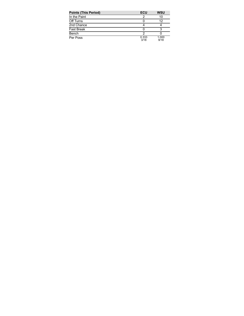| <b>Points (This Period)</b> | ECU           | <b>WSU</b>    |
|-----------------------------|---------------|---------------|
| In the Paint                |               | 10            |
| Off Turns                   |               | 12            |
| 2nd Chance                  |               |               |
| <b>Fast Break</b>           |               |               |
| Bench                       |               |               |
| Per Poss                    | 0.333<br>3/18 | 1.000<br>9/18 |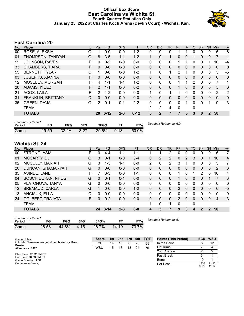#### **Official Box Score East Carolina vs Wichita St. Fourth Quarter Statistics Only January 25, 2022 at Charles Koch Arena (Devlin Court) - Wichita, Kan.**



# **East Carolina 20**

| No. | Plaver                    | S | <b>Pts</b>     | <b>FG</b> | 3FG     | <b>FT</b> | <b>OR</b> | <b>DR</b>    | TR       | PF | A        | TO | <b>Blk</b>   | Stl           | Min      | $+/-$       |
|-----|---------------------------|---|----------------|-----------|---------|-----------|-----------|--------------|----------|----|----------|----|--------------|---------------|----------|-------------|
| 00  | ROSE, ALEXSIA             | G |                | $0 - 0$   | $0 - 0$ | $1 - 2$   | 0         | 0            | 0        |    |          | 0  | 0            | 0             | 6        | -8          |
| 01  | THOMPSON, TANIYAH         | G | 8              | $3 - 5$   | $1 - 1$ | $1 - 2$   | 1         | 0            | 1        | 0  | $\Omega$ |    | 0            | $\mathbf{0}$  | 7        | 1           |
| 11  | JOHNSON, RAVEN            | F | 0              | $0 - 2$   | $0 - 0$ | $0 - 0$   | 0         | 0            | 0        |    |          | 0  | 0            |               | 10       | -4          |
| 33  | <b>CHAMBERS, TIARA</b>    | F | 0              | $0 - 0$   | $0 - 0$ | $0 - 0$   | $\Omega$  | $\Omega$     | 0        | 0  | $\Omega$ | 0  | 0            | $\Omega$      | $\Omega$ | 0           |
| 55  | BENNETT, TYLAR            | С |                | $0 - 0$   | $0 - 0$ | $1 - 2$   | 1         | $\Omega$     | 1        | 2  |          | 0  | 0            | $\Omega$      | 3        | -5          |
| 03  | JOSEPHS, XIANNA           | F | 0              | $0 - 0$   | $0 - 0$ | $0 - 0$   | 0         | 0            | 0        | 0  | $\Omega$ | 0  | 0            | $\mathbf{0}$  | $\Omega$ | $\mathbf 0$ |
| 12  | MOSELEY, MORGAN           | F | 4              | $1 - 1$   | $1 - 1$ | $1 - 2$   | $\Omega$  | 0            | 0        | 1  |          | 2  | 0            | 0             | 7        | 1           |
| 20  | ADAMS, IYCEZ              | F | $\overline{2}$ | $1 - 1$   | $0 - 0$ | $0 - 2$   | 0         | $\mathbf{0}$ | 0        |    | $\Omega$ | 0  | 0            | $\mathbf{0}$  | 5        | 0           |
| 21  | <b>ACOX, LAILA</b>        | F | 2              | $1 - 2$   | $0 - 0$ | $0 - 0$   | 1         | 0            | 1        |    | 0        | 0  | 0            | $\Omega$      | 2        | $-2$        |
| 31  | <b>FRANKLIN, BRITTANY</b> | C | $\Omega$       | $0 - 0$   | $0 - 0$ | $0 - 0$   | $\Omega$  | $\Omega$     | $\Omega$ | 0  | $\Omega$ | 0  | 0            | $\Omega$      | $\Omega$ | 0           |
| 35  | <b>GREEN, DA'JA</b>       | G | 2              | $0 - 1$   | $0 - 1$ | $2 - 2$   | 0         | $\Omega$     | 0        | 0  |          | 0  | 0            |               | 9        | $-3$        |
|     | <b>TEAM</b>               |   |                |           |         |           | 2         | 2            | 4        | 0  |          | 0  |              |               |          |             |
|     | <b>TOTALS</b>             |   | <b>20</b>      | $6 - 12$  | $2 - 3$ | $6 - 12$  | 5         | 2            | 7        | 7  | 5        | 3  | $\mathbf{0}$ | $\mathcal{P}$ | 50       |             |

| <b>Shooting By Period</b><br>Period | FG    | FG%      | 3FG      | 3FG%  | FТ       | FT%   | Deadball Rebounds: 6,0 |
|-------------------------------------|-------|----------|----------|-------|----------|-------|------------------------|
| Game                                | 19-59 | $32.2\%$ | $8 - 27$ | 29.6% | $9 - 18$ | 50.0% |                        |

# **Wichita St. 24**

| No.               | Plaver                   | S  | <b>Pts</b> | <b>FG</b> | 3FG     | <b>FT</b> | <b>OR</b>    | DR       | TR | PF | A            | TO       | <b>B</b> lk   | Stl          | Min | $+/-$    |
|-------------------|--------------------------|----|------------|-----------|---------|-----------|--------------|----------|----|----|--------------|----------|---------------|--------------|-----|----------|
| 00                | STRONG, ASIA             | F  | 10         | $4 - 4$   | 1-1     | 1-1       |              |          | 2  | 0  | 0            |          |               | 0            | 6   | 7        |
| 01                | <b>MCCARTY, DJ</b>       | G  | 3          | $0 - 1$   | $0 - 0$ | $3 - 4$   | 0            | 2        | 2  | 0  | 2            | 3        | 0             |              | 10  | 4        |
| 02                | <b>MCCULLY, MARIAH</b>   | G  | 3          | 1-3       | 1-1     | $0 - 0$   | 2            | 0        | 2  | 3  |              | 0        | 0             | 0            | 5   | 7        |
| 20                | DUNCAN, SHAMARYAH        | G  | 0          | $0 - 0$   | $0 - 0$ | $0 - 0$   | $\mathbf{0}$ | 0        | 0  | 0  | $\mathbf{0}$ | $\Omega$ | 0             | $\mathbf{0}$ | 2   | 3        |
| 35                | ASINDE, JANE             | F  |            | $3 - 3$   | $0 - 0$ | $1 - 1$   | 0            | $\Omega$ | 0  | 1  | 0            |          | $\mathcal{P}$ | 0            | 10  | 4        |
| 04                | <b>BOSCH DURAN, NHUG</b> | G  | 0          | $0 - 1$   | $0 - 1$ | $0 - 0$   | 0            | $\Omega$ | 0  |    | 0            | $\Omega$ | $\Omega$      |              |     | 3        |
| 05                | PLATONOVA, TANYA         | G  | 0          | $0 - 0$   | $0 - 0$ | $0 - 0$   | 0            | 0        | 0  | 0  | 0            | $\Omega$ | 0             | 0            | 0   | $\Omega$ |
| $12 \overline{ }$ | <b>BREMAUD, CARLA</b>    | G  |            | $0 - 0$   | $0 - 0$ | $1 - 2$   | $\Omega$     | 0        | 0  | 2  | 0            | 0        | 0             | 0            | 6   | $-5$     |
| 13                | ANCIAUX, ELLA            | C  | 0          | $0 - 0$   | $0 - 0$ | $0 - 0$   | 0            | 0        | 0  | 0  | 0            | 0        | 0             | 0            | 0   | 0        |
| 24                | <b>COLBERT, TRAJATA</b>  | F. | 0          | $0 - 2$   | $0 - 0$ | $0 - 0$   | $\Omega$     | 0        | 0  | 2  | $\Omega$     | 0        | 0             | $\Omega$     | 4   | $-3$     |
|                   | <b>TEAM</b>              |    |            |           |         |           | 1            | 0        | 1  | 0  |              | 0        |               |              |     |          |
|                   | <b>TOTALS</b>            |    | 24         | $8 - 14$  | $2 - 3$ | $6 - 8$   | 4            | 3        |    | 9  | 3            | 4        | 2             | 2            | 50  |          |

| <b>Shooting By Period</b><br>Period | FG    | FG%   | 3FG      | 3FG%  |       | FT%   | Deadball Rebounds: 5,1 |
|-------------------------------------|-------|-------|----------|-------|-------|-------|------------------------|
| Game                                | 26-58 | 44.8% | $4 - 15$ | 26.7% | 14-19 | 73.7% |                        |

| Game Notes:                                      | Score | 1st | 2nd | 3rd | 4th | тот | <b>Points (This Period)</b> | <b>ECU</b>   | <b>WSU</b>     |
|--------------------------------------------------|-------|-----|-----|-----|-----|-----|-----------------------------|--------------|----------------|
| Officials: Cameron Inouye, Joseph Vaszily, Karen | ECU   | 14  | 15  | 6   | 20  | 55  | In the Paint                |              |                |
| Preato<br>Attendance: 1075                       | WSU   | 15  | 13  | 18  | 24  | 70  | Off Turns                   |              |                |
|                                                  |       |     |     |     |     |     | 2nd Chance                  |              |                |
| Start Time: 07:02 PM ET<br>End Time: 08:53 PM ET |       |     |     |     |     |     | <b>Fast Break</b>           |              |                |
| Game Duration: 1:51                              |       |     |     |     |     |     | Bench                       | 10           |                |
| Conference Game:                                 |       |     |     |     |     |     | Per Poss                    | .333<br>9/15 | 1.412<br>11/17 |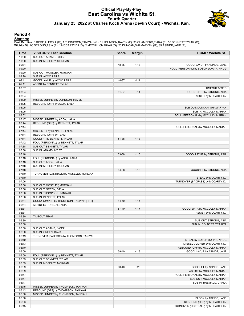#### **Official Play-By-Play East Carolina vs Wichita St. Fourth Quarter January 25, 2022 at Charles Koch Arena (Devlin Court) - Wichita, Kan.**



#### **Period 4**

#### **Starters:**

East Carolina: 0 ROSE,ALEXSIA (G); 1 THOMPSON,TANIYAH (G); 11 JOHNSON,RAVEN (F); 33 CHAMBERS,TIARA (F); 55 BENNETT,TYLAR (C);<br>**Wichita St.**: 00 STRONG,ASIA (F); 1 MCCARTY,DJ (G); 2 MCCULLY,MARIAH (G); 20 DUNCAN,SHAMARYAH (

| Time           | <b>VISITORS: East Carolina</b>                  | <b>Score</b> | <b>Margin</b> | HOME: Wichita St.                                     |
|----------------|-------------------------------------------------|--------------|---------------|-------------------------------------------------------|
| 10:00          | SUB OUT: ADAMS, IYCEZ                           |              |               |                                                       |
| 10:00          | SUB IN: MOSELEY, MORGAN                         |              |               |                                                       |
| 09:34          |                                                 | 48-35        | H 13          | GOOD! LAYUP by ASINDE, JANE                           |
| 09:20          |                                                 |              |               | FOUL (PERSONAL) by BOSCH DURAN, NHUG                  |
| 09:20          | SUB OUT: MOSELEY, MORGAN                        |              |               |                                                       |
| 09:20          | SUB IN: ACOX, LAILA                             |              |               |                                                       |
| 09:11          | GOOD! LAYUP by ACOX, LAILA                      | 48-37        | H 11          |                                                       |
| 09:11          | ASSIST by BENNETT, TYLAR                        |              |               |                                                       |
| 08:57          |                                                 |              |               | TIMEOUT 30SEC                                         |
| 08:34          |                                                 | 51-37        | H 14          | GOOD! 3PTR by STRONG, ASIA                            |
| 08:34          |                                                 |              |               | ASSIST by MCCARTY, DJ                                 |
| 08:09          | MISSED JUMPER by JOHNSON, RAVEN                 |              |               |                                                       |
| 08:05          | REBOUND (OFF) by ACOX, LAILA                    |              |               |                                                       |
| 08:05          |                                                 |              |               | SUB OUT: DUNCAN, SHAMARYAH                            |
| 08:05          |                                                 |              |               | SUB IN: MCCULLY, MARIAH                               |
| 08:02          |                                                 |              |               | FOUL (PERSONAL) by MCCULLY, MARIAH                    |
| 07:47          | MISSED JUMPER by ACOX, LAILA                    |              |               |                                                       |
| 07:44          | REBOUND (OFF) by BENNETT, TYLAR                 |              |               |                                                       |
| 07:44          |                                                 |              |               | FOUL (PERSONAL) by MCCULLY, MARIAH                    |
| 07:44          | MISSED FT by BENNETT, TYLAR                     |              |               |                                                       |
| 07:44          | REBOUND (OFF) by TEAM                           |              |               |                                                       |
| 07:44          | GOOD! FT by BENNETT, TYLAR                      | 51-38        | H 13          |                                                       |
| 07:42          | FOUL (PERSONAL) by BENNETT, TYLAR               |              |               |                                                       |
| 07:38          | SUB OUT: BENNETT, TYLAR                         |              |               |                                                       |
| 07:38          | SUB IN: ADAMS, IYCEZ                            |              |               |                                                       |
| 07:18          |                                                 | 53-38        | H 15          | GOOD! LAYUP by STRONG, ASIA                           |
| 07:18          | FOUL (PERSONAL) by ACOX, LAILA                  |              |               |                                                       |
| 07:18<br>07:18 | SUB OUT: ACOX, LAILA<br>SUB IN: MOSELEY, MORGAN |              |               |                                                       |
| 07:18          |                                                 | 54-38        | H 16          | GOOD! FT by STRONG, ASIA                              |
| 07:10          | TURNOVER (LOSTBALL) by MOSELEY, MORGAN          |              |               |                                                       |
| 07:10          |                                                 |              |               | STEAL by MCCARTY, DJ                                  |
| 07:06          |                                                 |              |               | TURNOVER (BADPASS) by MCCARTY, DJ                     |
| 07:06          | SUB OUT: MOSELEY, MORGAN                        |              |               |                                                       |
| 07:06          | SUB OUT: GREEN, DA'JA                           |              |               |                                                       |
| 07:06          | SUB IN: THOMPSON, TANIYAH                       |              |               |                                                       |
| 07:06          | SUB IN: BENNETT, TYLAR                          |              |               |                                                       |
| 06:54          | GOOD! JUMPER by THOMPSON, TANIYAH [PNT]         | 54-40        | H 14          |                                                       |
| 06:54          | ASSIST by ROSE, ALEXSIA                         |              |               |                                                       |
| 06:31          |                                                 | 57-40        | H 17          | GOOD! 3PTR by MCCULLY, MARIAH                         |
| 06:31          |                                                 |              |               | ASSIST by MCCARTY, DJ                                 |
| 06:30          | <b>TIMEOUT TEAM</b>                             |              |               |                                                       |
| 06:30          |                                                 |              |               | SUB OUT: STRONG, ASIA                                 |
| 06:30          |                                                 |              |               | SUB IN: COLBERT, TRAJATA                              |
| 06:30          | SUB OUT: ADAMS, IYCEZ                           |              |               |                                                       |
| 06:30          | SUB IN: GREEN, DA'JA                            |              |               |                                                       |
| 06:19          | TURNOVER (BADPASS) by THOMPSON, TANIYAH         |              |               |                                                       |
| 06:19          |                                                 |              |               | STEAL by BOSCH DURAN, NHUG                            |
| 06:13          |                                                 |              |               | MISSED JUMPER by MCCARTY, DJ                          |
| 06:10          |                                                 |              |               | REBOUND (OFF) by MCCULLY, MARIAH                      |
| 06:09          |                                                 | 59-40        | H 19          | GOOD! LAYUP by ASINDE, JANE                           |
| 06:09          | FOUL (PERSONAL) by BENNETT, TYLAR               |              |               |                                                       |
| 06:09          | SUB OUT: BENNETT, TYLAR                         |              |               |                                                       |
| 06:09          | SUB IN: MOSELEY, MORGAN                         |              |               |                                                       |
| 06:09          |                                                 | 60-40        | H 20          | GOOD! FT by ASINDE, JANE                              |
| 06:09          |                                                 |              |               | ASSIST by MCCULLY, MARIAH                             |
| 05:47          |                                                 |              |               | FOUL (PERSONAL) by MCCULLY, MARIAH                    |
| 05:47          |                                                 |              |               | SUB OUT: MCCULLY, MARIAH                              |
| 05:47          |                                                 |              |               | SUB IN: BREMAUD, CARLA                                |
| 05:45          | MISSED JUMPER by THOMPSON, TANIYAH              |              |               |                                                       |
| 05:42          | REBOUND (OFF) by THOMPSON, TANIYAH              |              |               |                                                       |
| 05:38<br>05:38 | MISSED JUMPER by THOMPSON, TANIYAH              |              |               |                                                       |
| 05:33          |                                                 |              |               | BLOCK by ASINDE, JANE<br>REBOUND (DEF) by MCCARTY, DJ |
| 05:15          |                                                 |              |               | TURNOVER (LOSTBALL) by MCCARTY, DJ                    |
|                |                                                 |              |               |                                                       |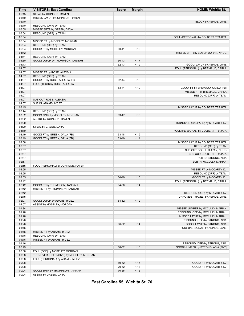| Time  | <b>VISITORS: East Carolina</b>          | <b>Score</b> | <b>Margin</b> | <b>HOME: Wichita St.</b>            |
|-------|-----------------------------------------|--------------|---------------|-------------------------------------|
| 05:15 | STEAL by JOHNSON, RAVEN                 |              |               |                                     |
| 05:10 | MISSED LAYUP by JOHNSON, RAVEN          |              |               |                                     |
| 05:10 |                                         |              |               | BLOCK by ASINDE, JANE               |
| 05:10 | REBOUND (OFF) by TEAM                   |              |               |                                     |
| 05:05 | MISSED 3PTR by GREEN, DA'JA             |              |               |                                     |
| 05:04 | REBOUND (OFF) by TEAM                   |              |               |                                     |
| 05:04 |                                         |              |               | FOUL (PERSONAL) by COLBERT, TRAJATA |
| 05:04 | MISSED FT by MOSELEY, MORGAN            |              |               |                                     |
| 05:04 | REBOUND (OFF) by TEAM                   |              |               |                                     |
| 05:04 | GOOD! FT by MOSELEY, MORGAN             | 60-41        | H 19          |                                     |
| 04:42 |                                         |              |               | MISSED 3PTR by BOSCH DURAN, NHUG    |
| 04:41 | REBOUND (DEF) by TEAM                   |              |               |                                     |
| 04:30 | GOOD! LAYUP by THOMPSON, TANIYAH        | 60-43        | H 17          |                                     |
| 04:13 |                                         | 62-43        | H 19          | GOOD! LAYUP by ASINDE, JANE         |
| 04:07 |                                         |              |               | FOUL (PERSONAL) by BREMAUD, CARLA   |
| 04:07 | MISSED FT by ROSE, ALEXSIA              |              |               |                                     |
| 04:07 | REBOUND (OFF) by TEAM                   |              |               |                                     |
| 04:07 | GOOD! FT by ROSE, ALEXSIA [FB]          | 62-44        | H 18          |                                     |
| 04:07 | FOUL (TECH) by ROSE, ALEXSIA            |              |               |                                     |
| 04:07 |                                         | 63-44        | H 19          | GOOD! FT by BREMAUD, CARLA [FB]     |
| 04:07 |                                         |              |               | MISSED FT by BREMAUD, CARLA         |
| 04:07 |                                         |              |               | REBOUND (OFF) by TEAM               |
| 04:07 | SUB OUT: ROSE, ALEXSIA                  |              |               |                                     |
| 04:07 | SUB IN: ADAMS, IYCEZ                    |              |               |                                     |
| 03:45 |                                         |              |               | MISSED LAYUP by COLBERT, TRAJATA    |
| 03:44 | REBOUND (DEF) by TEAM                   |              |               |                                     |
| 03:32 | GOOD! 3PTR by MOSELEY, MORGAN           | 63-47        | H 16          |                                     |
| 03:32 | ASSIST by JOHNSON, RAVEN                |              |               |                                     |
| 03:20 |                                         |              |               | TURNOVER (BADPASS) by MCCARTY, DJ   |
| 03:20 | STEAL by GREEN, DA'JA                   |              |               |                                     |
| 03:19 |                                         |              |               | FOUL (PERSONAL) by COLBERT, TRAJATA |
| 03:19 | GOOD! FT by GREEN, DA'JA [FB]           | 63-48        | H 15          |                                     |
| 03:19 | GOOD! FT by GREEN, DA'JA [FB]           | 63-49        | H 14          |                                     |
| 02:58 |                                         |              |               | MISSED LAYUP by COLBERT, TRAJATA    |
| 02:57 |                                         |              |               | REBOUND (OFF) by TEAM               |
| 02:57 |                                         |              |               | SUB OUT: BOSCH DURAN, NHUG          |
| 02:57 |                                         |              |               | SUB OUT: COLBERT, TRAJATA           |
| 02:57 |                                         |              |               | SUB IN: STRONG, ASIA                |
| 02:57 |                                         |              |               | SUB IN: MCCULLY, MARIAH             |
| 02:55 | FOUL (PERSONAL) by JOHNSON, RAVEN       |              |               |                                     |
| 02:55 |                                         |              |               | MISSED FT by MCCARTY, DJ            |
| 02:55 |                                         |              |               | REBOUND (OFF) by TEAM               |
| 02:55 |                                         | 64-49        | H 15          | GOOD! FT by MCCARTY, DJ             |
| 02:42 |                                         |              |               | FOUL (PERSONAL) by BREMAUD, CARLA   |
| 02:42 | GOOD! FT by THOMPSON, TANIYAH           | 64-50        | H 14          |                                     |
| 02:42 | MISSED FT by THOMPSON, TANIYAH          |              |               |                                     |
| 02:42 |                                         |              |               | REBOUND (DEF) by MCCARTY, DJ        |
| 02:15 |                                         |              |               | TURNOVER (TRAVEL) by ASINDE, JANE   |
| 02:07 | GOOD! LAYUP by ADAMS, IYCEZ             | 64-52        | H 12          |                                     |
| 02:07 | ASSIST by MOSELEY, MORGAN               |              |               |                                     |
| 01:34 |                                         |              |               | MISSED JUMPER by MCCULLY, MARIAH    |
| 01:28 |                                         |              |               | REBOUND (OFF) by MCCULLY, MARIAH    |
| 01:28 |                                         |              |               | MISSED LAYUP by MCCULLY, MARIAH     |
| 01:26 |                                         |              |               | REBOUND (OFF) by STRONG, ASIA       |
| 01:26 |                                         | 66-52        | H 14          | GOOD! LAYUP by STRONG, ASIA         |
| 01:16 |                                         |              |               | FOUL (PERSONAL) by ASINDE, JANE     |
| 01:16 | MISSED FT by ADAMS, IYCEZ               |              |               |                                     |
| 01:16 | REBOUND (OFF) by TEAM                   |              |               |                                     |
| 01:16 | MISSED FT by ADAMS, IYCEZ               |              |               |                                     |
| 01:16 |                                         |              |               | REBOUND (DEF) by STRONG, ASIA       |
| 00:49 |                                         | 68-52        | H 16          | GOOD! JUMPER by STRONG, ASIA [PNT]  |
| 00:38 | FOUL (OFF) by MOSELEY, MORGAN           |              |               |                                     |
| 00:38 | TURNOVER (OFFENSIVE) by MOSELEY, MORGAN |              |               |                                     |
| 00:08 | FOUL (PERSONAL) by ADAMS, IYCEZ         |              |               |                                     |
| 00:08 |                                         | 69-52        | H 17          | GOOD! FT by MCCARTY, DJ             |
| 00:08 |                                         | 70-52        | H 18          | GOOD! FT by MCCARTY, DJ             |
| 00:04 | GOOD! 3PTR by THOMPSON, TANIYAH         | 70-55        | H 15          |                                     |
| 00:04 | ASSIST by GREEN, DA'JA                  |              |               |                                     |

**East Carolina 55, Wichita St. 70**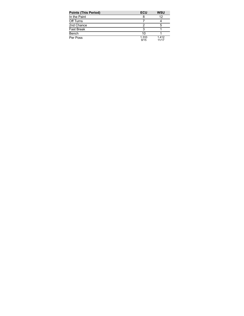| <b>Points (This Period)</b> | ECU           | <b>WSU</b>     |
|-----------------------------|---------------|----------------|
| In the Paint                |               | 12             |
| Off Turns                   |               |                |
| 2nd Chance                  |               | 5              |
| <b>Fast Break</b>           |               |                |
| Bench                       | 10            |                |
| Per Poss                    | 1.333<br>9/15 | 1.412<br>11/17 |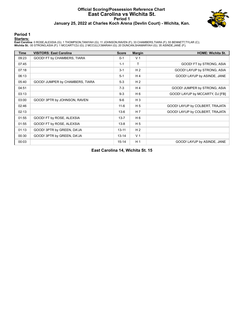#### **Official Scoring/Possession Reference Chart East Carolina vs Wichita St. Period 1 January 25, 2022 at Charles Koch Arena (Devlin Court) - Wichita, Kan.**



#### **Period 1**

#### **Starters:**

East Carolina: 0 ROSE,ALEXSIA (G); 1 THOMPSON,TANIYAH (G); 11 JOHNSON,RAVEN (F); 33 CHAMBERS,TIARA (F); 55 BENNETT,TYLAR (C);<br>**Wichita St.**: 00 STRONG,ASIA (F); 1 MCCARTY,DJ (G); 2 MCCULLY,MARIAH (G); 20 DUNCAN,SHAMARYAH (

| <b>Time</b> | <b>VISITORS: East Carolina</b>  | <b>Score</b> | <b>Margin</b>  | <b>HOME: Wichita St.</b>        |
|-------------|---------------------------------|--------------|----------------|---------------------------------|
| 09:23       | GOOD! FT by CHAMBERS, TIARA     | $0 - 1$      | V <sub>1</sub> |                                 |
| 07:45       |                                 | $1 - 1$      | T.             | GOOD! FT by STRONG, ASIA        |
| 07:18       |                                 | $3 - 1$      | H <sub>2</sub> | GOOD! LAYUP by STRONG, ASIA     |
| 06:13       |                                 | $5 - 1$      | $H_4$          | GOOD! LAYUP by ASINDE, JANE     |
| 05:40       | GOOD! JUMPER by CHAMBERS, TIARA | $5-3$        | H <sub>2</sub> |                                 |
| 04:51       |                                 | $7-3$        | H <sub>4</sub> | GOOD! JUMPER by STRONG, ASIA    |
| 03:13       |                                 | $9 - 3$      | H <sub>6</sub> | GOOD! LAYUP by MCCARTY, DJ [FB] |
| 03:00       | GOOD! 3PTR by JOHNSON, RAVEN    | $9-6$        | $H_3$          |                                 |
| 02:46       |                                 | $11 - 6$     | H <sub>5</sub> | GOOD! LAYUP by COLBERT, TRAJATA |
| 02:13       |                                 | $13-6$       | H <sub>7</sub> | GOOD! LAYUP by COLBERT, TRAJATA |
| 01:55       | GOOD! FT by ROSE, ALEXSIA       | $13 - 7$     | H 6            |                                 |
| 01:55       | GOOD! FT by ROSE, ALEXSIA       | $13 - 8$     | H <sub>5</sub> |                                 |
| 01:13       | GOOD! 3PTR by GREEN, DA'JA      | $13 - 11$    | H <sub>2</sub> |                                 |
| 00:30       | GOOD! 3PTR by GREEN, DA'JA      | $13 - 14$    | V <sub>1</sub> |                                 |
| 00:03       |                                 | $15 - 14$    | H <sub>1</sub> | GOOD! LAYUP by ASINDE, JANE     |

**East Carolina 14, Wichita St. 15**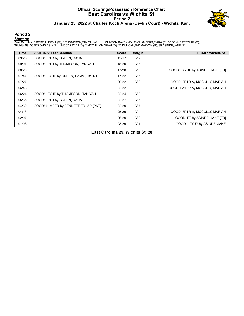#### **Official Scoring/Possession Reference Chart East Carolina vs Wichita St. Period 2 January 25, 2022 at Charles Koch Arena (Devlin Court) - Wichita, Kan.**



#### **Period 2**

#### **Starters:**

East Carolina: 0 ROSE,ALEXSIA (G); 1 THOMPSON,TANIYAH (G); 11 JOHNSON,RAVEN (F); 33 CHAMBERS,TIARA (F); 55 BENNETT,TYLAR (C);<br>**Wichita St.**: 00 STRONG,ASIA (F); 1 MCCARTY,DJ (G); 2 MCCULLY,MARIAH (G); 20 DUNCAN,SHAMARYAH (

| Time  | <b>VISITORS: East Carolina</b>       | <b>Score</b> | <b>Margin</b>  | <b>HOME: Wichita St.</b>         |
|-------|--------------------------------------|--------------|----------------|----------------------------------|
| 09:26 | GOOD! 3PTR by GREEN, DA'JA           | 15-17        | V <sub>2</sub> |                                  |
| 09:01 | GOOD! 3PTR by THOMPSON, TANIYAH      | $15 - 20$    | V <sub>5</sub> |                                  |
| 08:20 |                                      | 17-20        | $V_3$          | GOOD! LAYUP by ASINDE, JANE [FB] |
| 07:47 | GOOD! LAYUP by GREEN, DA'JA [FB/PNT] | 17-22        | V <sub>5</sub> |                                  |
| 07:27 |                                      | $20 - 22$    | V <sub>2</sub> | GOOD! 3PTR by MCCULLY, MARIAH    |
| 06:48 |                                      | $22 - 22$    | T              | GOOD! LAYUP by MCCULLY, MARIAH   |
| 06:24 | GOOD! LAYUP by THOMPSON, TANIYAH     | $22 - 24$    | V <sub>2</sub> |                                  |
| 05:35 | GOOD! 3PTR by GREEN, DA'JA           | $22 - 27$    | V <sub>5</sub> |                                  |
| 04:32 | GOOD! JUMPER by BENNETT, TYLAR [PNT] | $22 - 29$    | V <sub>7</sub> |                                  |
| 04:13 |                                      | $25-29$      | V <sub>4</sub> | GOOD! 3PTR by MCCULLY, MARIAH    |
| 02:07 |                                      | 26-29        | $V_3$          | GOOD! FT by ASINDE, JANE [FB]    |
| 01:03 |                                      | 28-29        | V <sub>1</sub> | GOOD! LAYUP by ASINDE, JANE      |

**East Carolina 29, Wichita St. 28**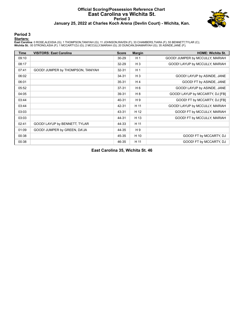#### **Official Scoring/Possession Reference Chart East Carolina vs Wichita St. Period 3 January 25, 2022 at Charles Koch Arena (Devlin Court) - Wichita, Kan.**



#### **Period 3**

#### **Starters:**

East Carolina: 0 ROSE,ALEXSIA (G); 1 THOMPSON,TANIYAH (G); 11 JOHNSON,RAVEN (F); 33 CHAMBERS,TIARA (F); 55 BENNETT,TYLAR (C);<br>**Wichita St.**: 00 STRONG,ASIA (F); 1 MCCARTY,DJ (G); 2 MCCULLY,MARIAH (G); 20 DUNCAN,SHAMARYAH (

| <b>Time</b> | <b>VISITORS: East Carolina</b>    | <b>Score</b> | <b>Margin</b>  | <b>HOME: Wichita St.</b>        |
|-------------|-----------------------------------|--------------|----------------|---------------------------------|
| 09:10       |                                   | 30-29        | H <sub>1</sub> | GOOD! JUMPER by MCCULLY, MARIAH |
| 08:17       |                                   | 32-29        | $H_3$          | GOOD! LAYUP by MCCULLY, MARIAH  |
| 07:41       | GOOD! JUMPER by THOMPSON, TANIYAH | 32-31        | H <sub>1</sub> |                                 |
| 06:02       |                                   | 34-31        | $H_3$          | GOOD! LAYUP by ASINDE, JANE     |
| 06:01       |                                   | 35-31        | H <sub>4</sub> | GOOD! FT by ASINDE, JANE        |
| 05:52       |                                   | $37 - 31$    | H <sub>6</sub> | GOOD! LAYUP by ASINDE, JANE     |
| 04:05       |                                   | 39-31        | H 8            | GOOD! LAYUP by MCCARTY, DJ [FB] |
| 03:44       |                                   | 40-31        | H 9            | GOOD! FT by MCCARTY, DJ [FB]    |
| 03:44       |                                   | 42-31        | H 11           | GOOD! LAYUP by MCCULLY, MARIAH  |
| 03:03       |                                   | 43-31        | H 12           | GOOD! FT by MCCULLY, MARIAH     |
| 03:03       |                                   | 44-31        | H 13           | GOOD! FT by MCCULLY, MARIAH     |
| 02:41       | GOOD! LAYUP by BENNETT, TYLAR     | 44-33        | H 11           |                                 |
| 01:09       | GOOD! JUMPER by GREEN, DA'JA      | 44-35        | H9             |                                 |
| 00:38       |                                   | 45-35        | H 10           | GOOD! FT by MCCARTY, DJ         |
| 00:38       |                                   | 46-35        | H 11           | GOOD! FT by MCCARTY, DJ         |

**East Carolina 35, Wichita St. 46**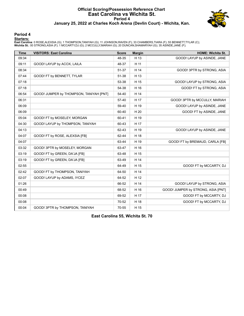#### **Official Scoring/Possession Reference Chart East Carolina vs Wichita St. Period 4 January 25, 2022 at Charles Koch Arena (Devlin Court) - Wichita, Kan.**



#### **Period 4**

#### **Starters:**

East Carolina: 0 ROSE,ALEXSIA (G); 1 THOMPSON,TANIYAH (G); 11 JOHNSON,RAVEN (F); 33 CHAMBERS,TIARA (F); 55 BENNETT,TYLAR (C);<br>**Wichita St.**: 00 STRONG,ASIA (F); 1 MCCARTY,DJ (G); 2 MCCULLY,MARIAH (G); 20 DUNCAN,SHAMARYAH (

| <b>Time</b> | <b>VISITORS: East Carolina</b>          | <b>Score</b> | <b>Margin</b> | <b>HOME: Wichita St.</b>           |
|-------------|-----------------------------------------|--------------|---------------|------------------------------------|
| 09:34       |                                         | 48-35        | H 13          | GOOD! LAYUP by ASINDE, JANE        |
| 09:11       | GOOD! LAYUP by ACOX, LAILA              | 48-37        | H 11          |                                    |
| 08:34       |                                         | 51-37        | H 14          | GOOD! 3PTR by STRONG, ASIA         |
| 07:44       | GOOD! FT by BENNETT, TYLAR              | 51-38        | H 13          |                                    |
| 07:18       |                                         | 53-38        | H 15          | GOOD! LAYUP by STRONG, ASIA        |
| 07:18       |                                         | 54-38        | H 16          | GOOD! FT by STRONG, ASIA           |
| 06:54       | GOOD! JUMPER by THOMPSON, TANIYAH [PNT] | 54-40        | H 14          |                                    |
| 06:31       |                                         | 57-40        | H 17          | GOOD! 3PTR by MCCULLY, MARIAH      |
| 06:09       |                                         | 59-40        | H 19          | GOOD! LAYUP by ASINDE, JANE        |
| 06:09       |                                         | 60-40        | H 20          | GOOD! FT by ASINDE, JANE           |
| 05:04       | GOOD! FT by MOSELEY, MORGAN             | 60-41        | H 19          |                                    |
| 04:30       | GOOD! LAYUP by THOMPSON, TANIYAH        | 60-43        | H 17          |                                    |
| 04:13       |                                         | 62-43        | H 19          | GOOD! LAYUP by ASINDE, JANE        |
| 04:07       | GOOD! FT by ROSE, ALEXSIA [FB]          | 62-44        | H 18          |                                    |
| 04:07       |                                         | 63-44        | H 19          | GOOD! FT by BREMAUD, CARLA [FB]    |
| 03:32       | GOOD! 3PTR by MOSELEY, MORGAN           | 63-47        | H 16          |                                    |
| 03:19       | GOOD! FT by GREEN, DA'JA [FB]           | 63-48        | H 15          |                                    |
| 03:19       | GOOD! FT by GREEN, DA'JA [FB]           | 63-49        | H 14          |                                    |
| 02:55       |                                         | 64-49        | H 15          | GOOD! FT by MCCARTY, DJ            |
| 02:42       | GOOD! FT by THOMPSON, TANIYAH           | 64-50        | H 14          |                                    |
| 02:07       | GOOD! LAYUP by ADAMS, IYCEZ             | 64-52        | H 12          |                                    |
| 01:26       |                                         | 66-52        | H 14          | GOOD! LAYUP by STRONG, ASIA        |
| 00:49       |                                         | 68-52        | H 16          | GOOD! JUMPER by STRONG, ASIA [PNT] |
| 00:08       |                                         | 69-52        | H 17          | GOOD! FT by MCCARTY, DJ            |
| 00:08       |                                         | 70-52        | H 18          | GOOD! FT by MCCARTY, DJ            |
| 00:04       | GOOD! 3PTR by THOMPSON, TANIYAH         | 70-55        | H 15          |                                    |

**East Carolina 55, Wichita St. 70**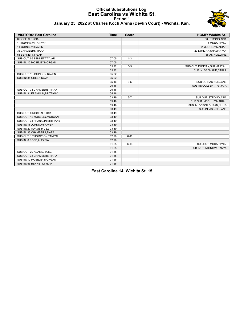#### **Official Substitutions Log East Carolina vs Wichita St. Period 1 January 25, 2022 at Charles Koch Arena (Devlin Court) - Wichita, Kan.**



| <b>VISITORS: East Carolina</b> | <b>Time</b> | <b>Score</b> | <b>HOME: Wichita St.</b>   |
|--------------------------------|-------------|--------------|----------------------------|
| 0 ROSE, ALEXSIA                |             |              | 00 STRONG, ASIA            |
| 1 THOMPSON, TANIYAH            |             |              | 1 MCCARTY,DJ               |
| 11 JOHNSON, RAVEN              |             |              | 2 MCCULLY, MARIAH          |
| 33 CHAMBERS, TIARA             |             |              | 20 DUNCAN, SHAMARYAH       |
| 55 BENNETT, TYLAR              |             |              | 35 ASINDE, JANE            |
| SUB OUT: 55 BENNETT, TYLAR     | 07:05       | $1 - 3$      |                            |
| SUB IN: 12 MOSELEY, MORGAN     | 07:05       |              |                            |
|                                | 05:22       | $3-5$        | SUB OUT: DUNCAN, SHAMARYAH |
|                                | 05:22       |              | SUB IN: BREMAUD, CARLA     |
| SUB OUT: 11 JOHNSON, RAVEN     | 05:22       |              |                            |
| SUB IN: 35 GREEN, DA'JA        | 05:22       |              |                            |
|                                | 05:16       | $3-5$        | SUB OUT: ASINDE, JANE      |
|                                | 05:16       |              | SUB IN: COLBERT, TRAJATA   |
| SUB OUT: 33 CHAMBERS, TIARA    | 05:16       |              |                            |
| SUB IN: 31 FRANKLIN, BRITTANY  | 05:16       |              |                            |
|                                | 03:49       | $3 - 7$      | SUB OUT: STRONG, ASIA      |
|                                | 03:49       |              | SUB OUT: MCCULLY, MARIAH   |
|                                | 03:49       |              | SUB IN: BOSCH DURAN, NHUG  |
|                                | 03:49       |              | SUB IN: ASINDE, JANE       |
| SUB OUT: 0 ROSE, ALEXSIA       | 03:49       |              |                            |
| SUB OUT: 12 MOSELEY, MORGAN    | 03:49       |              |                            |
| SUB OUT: 31 FRANKLIN, BRITTANY | 03:49       |              |                            |
| SUB IN: 11 JOHNSON, RAVEN      | 03:49       |              |                            |
| SUB IN: 20 ADAMS, IYCEZ        | 03:49       |              |                            |
| SUB IN: 33 CHAMBERS, TIARA     | 03:49       |              |                            |
| SUB OUT: 1 THOMPSON, TANIYAH   | 02:29       | $6 - 11$     |                            |
| SUB IN: 0 ROSE, ALEXSIA        | 02:29       |              |                            |
|                                | 01:55       | $6 - 13$     | SUB OUT: MCCARTY,DJ        |
|                                | 01:55       |              | SUB IN: PLATONOVA, TANYA   |
| SUB OUT: 20 ADAMS, IYCEZ       | 01:55       |              |                            |
| SUB OUT: 33 CHAMBERS, TIARA    | 01:55       |              |                            |
| SUB IN: 12 MOSELEY, MORGAN     | 01:55       |              |                            |
| SUB IN: 55 BENNETT, TYLAR      | 01:55       |              |                            |

**East Carolina 14, Wichita St. 15**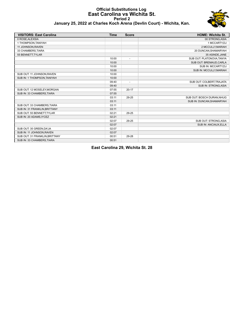#### **Official Substitutions Log East Carolina vs Wichita St. Period 2 January 25, 2022 at Charles Koch Arena (Devlin Court) - Wichita, Kan.**



| <b>VISITORS: East Carolina</b> | <b>Time</b> | <b>Score</b> | <b>HOME: Wichita St.</b>  |
|--------------------------------|-------------|--------------|---------------------------|
| 0 ROSE, ALEXSIA                |             |              | 00 STRONG, ASIA           |
| 1 THOMPSON, TANIYAH            |             |              | 1 MCCARTY,DJ              |
| 11 JOHNSON, RAVEN              |             |              | 2 MCCULLY, MARIAH         |
| 33 CHAMBERS, TIARA             |             |              | 20 DUNCAN, SHAMARYAH      |
| 55 BENNETT, TYLAR              |             |              | 35 ASINDE, JANE           |
|                                | 10:00       |              | SUB OUT: PLATONOVA, TANYA |
|                                | 10:00       |              | SUB OUT: BREMAUD, CARLA   |
|                                | 10:00       |              | SUB IN: MCCARTY,DJ        |
|                                | 10:00       |              | SUB IN: MCCULLY, MARIAH   |
| SUB OUT: 11 JOHNSON, RAVEN     | 10:00       |              |                           |
| SUB IN: 1 THOMPSON, TANIYAH    | 10:00       |              |                           |
|                                | 09:40       |              | SUB OUT: COLBERT, TRAJATA |
|                                | 09:40       |              | SUB IN: STRONG, ASIA      |
| SUB OUT: 12 MOSELEY, MORGAN    | 07:55       | $20 - 17$    |                           |
| SUB IN: 33 CHAMBERS, TIARA     | 07:55       |              |                           |
|                                | 03:11       | 29-25        | SUB OUT: BOSCH DURAN.NHUG |
|                                | 03:11       |              | SUB IN: DUNCAN, SHAMARYAH |
| SUB OUT: 33 CHAMBERS, TIARA    | 03:11       |              |                           |
| SUB IN: 31 FRANKLIN, BRITTANY  | 03:11       |              |                           |
| SUB OUT: 55 BENNETT, TYLAR     | 02:21       | 29-25        |                           |
| SUB IN: 20 ADAMS, IYCEZ        | 02:21       |              |                           |
|                                | 02:07       | 29-25        | SUB OUT: STRONG, ASIA     |
|                                | 02:07       |              | SUB IN: ANCIAUX, ELLA     |
| SUB OUT: 35 GREEN, DA'JA       | 02:07       |              |                           |
| SUB IN: 11 JOHNSON, RAVEN      | 02:07       |              |                           |
| SUB OUT: 31 FRANKLIN, BRITTANY | 00:51       | 29-28        |                           |
| SUB IN: 33 CHAMBERS, TIARA     | 00:51       |              |                           |

**East Carolina 29, Wichita St. 28**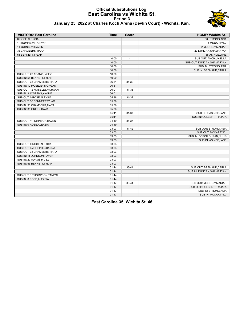#### **Official Substitutions Log East Carolina vs Wichita St. Period 3 January 25, 2022 at Charles Koch Arena (Devlin Court) - Wichita, Kan.**



| <b>VISITORS: East Carolina</b> | Time  | <b>Score</b>   | <b>HOME: Wichita St.</b>   |
|--------------------------------|-------|----------------|----------------------------|
| 0 ROSE, ALEXSIA                |       |                | 00 STRONG, ASIA            |
| 1 THOMPSON, TANIYAH            |       |                | 1 MCCARTY, DJ              |
| 11 JOHNSON, RAVEN              |       |                | 2 MCCULLY, MARIAH          |
| 33 CHAMBERS, TIARA             |       |                | 20 DUNCAN, SHAMARYAH       |
| 55 BENNETT, TYLAR              |       |                | 35 ASINDE, JANE            |
|                                | 10:00 | $\overline{a}$ | SUB OUT: ANCIAUX, ELLA     |
|                                | 10:00 |                | SUB OUT: DUNCAN, SHAMARYAH |
|                                | 10:00 |                | SUB IN: STRONG, ASIA       |
|                                | 10:00 |                | SUB IN: BREMAUD, CARLA     |
| SUB OUT: 20 ADAMS, IYCEZ       | 10:00 |                |                            |
| SUB IN: 55 BENNETT, TYLAR      | 10:00 |                |                            |
| SUB OUT: 33 CHAMBERS, TIARA    | 06:51 | 31-32          |                            |
| SUB IN: 12 MOSELEY, MORGAN     | 06:51 |                |                            |
| SUB OUT: 12 MOSELEY, MORGAN    | 06:01 | 31-35          |                            |
| SUB IN: 3 JOSEPHS, XIANNA      | 06:01 |                |                            |
| SUB OUT: 0 ROSE, ALEXSIA       | 05:36 | 31-37          |                            |
| SUB OUT: 55 BENNETT, TYLAR     | 05:36 |                |                            |
| SUB IN: 33 CHAMBERS, TIARA     | 05:36 |                |                            |
| SUB IN: 35 GREEN, DA'JA        | 05:36 |                |                            |
|                                | 05:11 | 31-37          | SUB OUT: ASINDE, JANE      |
|                                | 05:11 |                | SUB IN: COLBERT TRAJATA    |
| SUB OUT: 11 JOHNSON, RAVEN     | 04:19 | 31-37          |                            |
| SUB IN: 0 ROSE, ALEXSIA        | 04:19 |                |                            |
|                                | 03:03 | $31 - 42$      | SUB OUT: STRONG, ASIA      |
|                                | 03:03 |                | SUB OUT: MCCARTY,DJ        |
|                                | 03:03 |                | SUB IN: BOSCH DURAN, NHUG  |
|                                | 03:03 |                | SUB IN: ASINDE, JANE       |
| SUB OUT: 0 ROSE, ALEXSIA       | 03:03 |                |                            |
| SUB OUT: 3 JOSEPHS, XIANNA     | 03:03 |                |                            |
| SUB OUT: 33 CHAMBERS, TIARA    | 03:03 |                |                            |
| SUB IN: 11 JOHNSON, RAVEN      | 03:03 |                |                            |
| SUB IN: 20 ADAMS, IYCEZ        | 03:03 |                |                            |
| SUB IN: 55 BENNETT, TYLAR      | 03:03 |                |                            |
|                                | 01:44 | 33-44          | SUB OUT: BREMAUD, CARLA    |
|                                | 01:44 |                | SUB IN: DUNCAN, SHAMARYAH  |
| SUB OUT: 1 THOMPSON, TANIYAH   | 01:44 |                |                            |
| SUB IN: 0 ROSE, ALEXSIA        | 01:44 |                |                            |
|                                | 01:17 | 33-44          | SUB OUT: MCCULLY, MARIAH   |
|                                | 01:17 |                | SUB OUT: COLBERT, TRAJATA  |
|                                | 01:17 |                | SUB IN: STRONG, ASIA       |
|                                | 01:17 |                | SUB IN: MCCARTY,DJ         |

**East Carolina 35, Wichita St. 46**